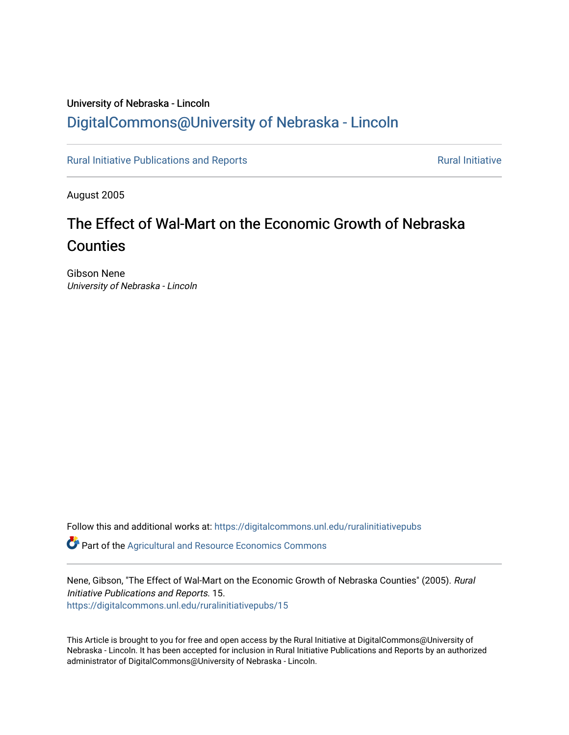## University of Nebraska - Lincoln [DigitalCommons@University of Nebraska - Lincoln](https://digitalcommons.unl.edu/)

[Rural Initiative Publications and Reports](https://digitalcommons.unl.edu/ruralinitiativepubs) **Rural Initiative** Rural Initiative

August 2005

# The Effect of Wal-Mart on the Economic Growth of Nebraska **Counties**

Gibson Nene University of Nebraska - Lincoln

Follow this and additional works at: [https://digitalcommons.unl.edu/ruralinitiativepubs](https://digitalcommons.unl.edu/ruralinitiativepubs?utm_source=digitalcommons.unl.edu%2Fruralinitiativepubs%2F15&utm_medium=PDF&utm_campaign=PDFCoverPages) 

**P** Part of the Agricultural and Resource Economics Commons

Nene, Gibson, "The Effect of Wal-Mart on the Economic Growth of Nebraska Counties" (2005). Rural Initiative Publications and Reports. 15. [https://digitalcommons.unl.edu/ruralinitiativepubs/15](https://digitalcommons.unl.edu/ruralinitiativepubs/15?utm_source=digitalcommons.unl.edu%2Fruralinitiativepubs%2F15&utm_medium=PDF&utm_campaign=PDFCoverPages)

This Article is brought to you for free and open access by the Rural Initiative at DigitalCommons@University of Nebraska - Lincoln. It has been accepted for inclusion in Rural Initiative Publications and Reports by an authorized administrator of DigitalCommons@University of Nebraska - Lincoln.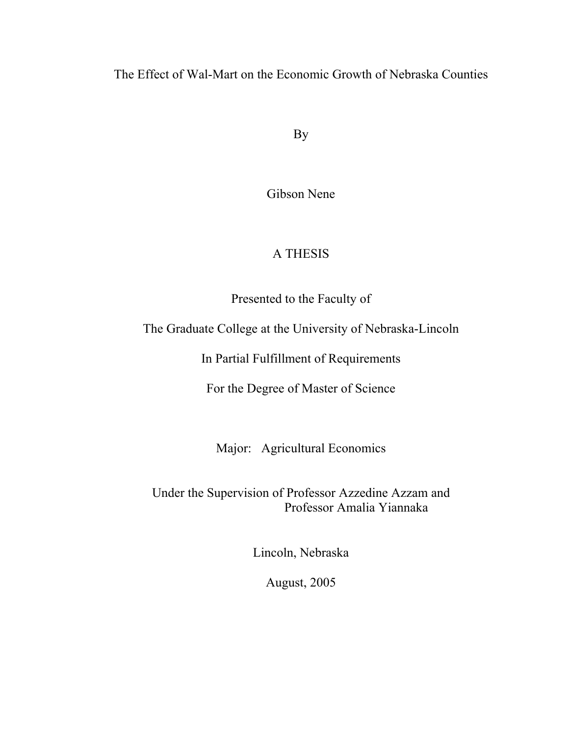The Effect of Wal-Mart on the Economic Growth of Nebraska Counties

By

Gibson Nene

## A THESIS

Presented to the Faculty of

The Graduate College at the University of Nebraska-Lincoln

In Partial Fulfillment of Requirements

For the Degree of Master of Science

Major: Agricultural Economics

Under the Supervision of Professor Azzedine Azzam and Professor Amalia Yiannaka

Lincoln, Nebraska

August, 2005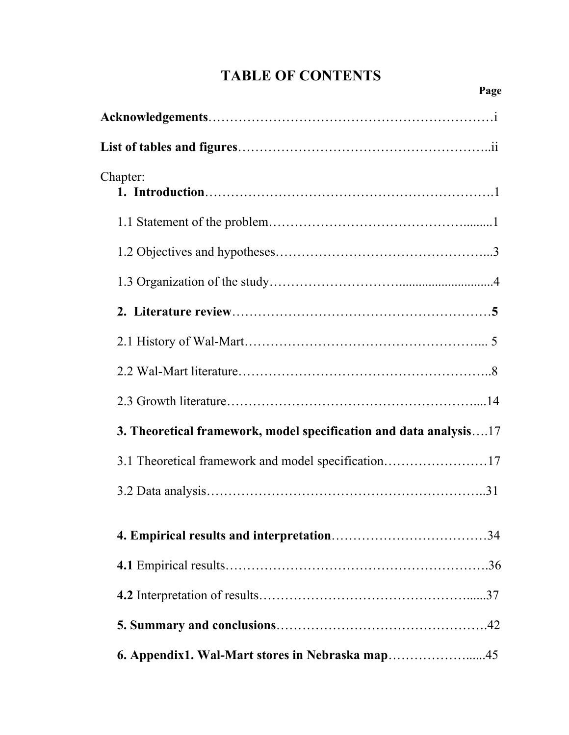# **TABLE OF CONTENTS**

| Chapter:                                                          |  |
|-------------------------------------------------------------------|--|
|                                                                   |  |
|                                                                   |  |
|                                                                   |  |
|                                                                   |  |
|                                                                   |  |
|                                                                   |  |
|                                                                   |  |
| 3. Theoretical framework, model specification and data analysis17 |  |
| 3.1 Theoretical framework and model specification17               |  |
|                                                                   |  |
|                                                                   |  |
|                                                                   |  |
|                                                                   |  |
|                                                                   |  |
|                                                                   |  |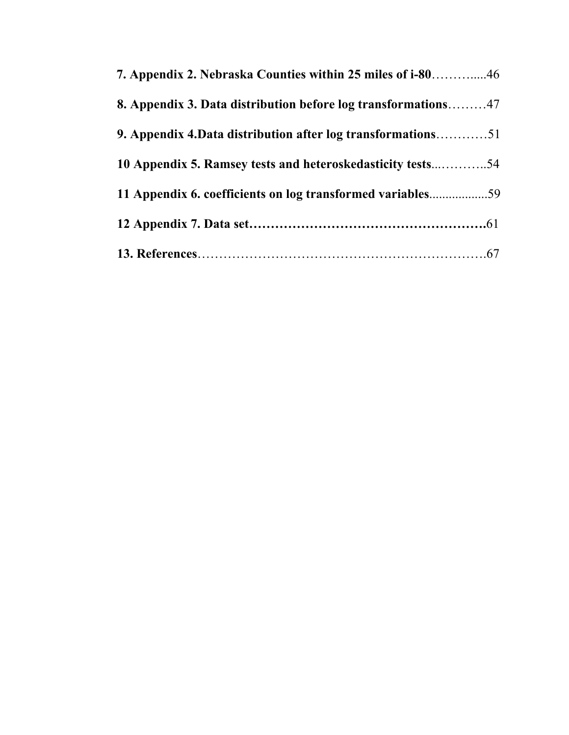| <b>8. Appendix 3. Data distribution before log transformations47</b> |  |
|----------------------------------------------------------------------|--|
| 9. Appendix 4. Data distribution after log transformations51         |  |
| 10 Appendix 5. Ramsey tests and heteroskedasticity tests54           |  |
| 11 Appendix 6. coefficients on log transformed variables59           |  |
|                                                                      |  |
|                                                                      |  |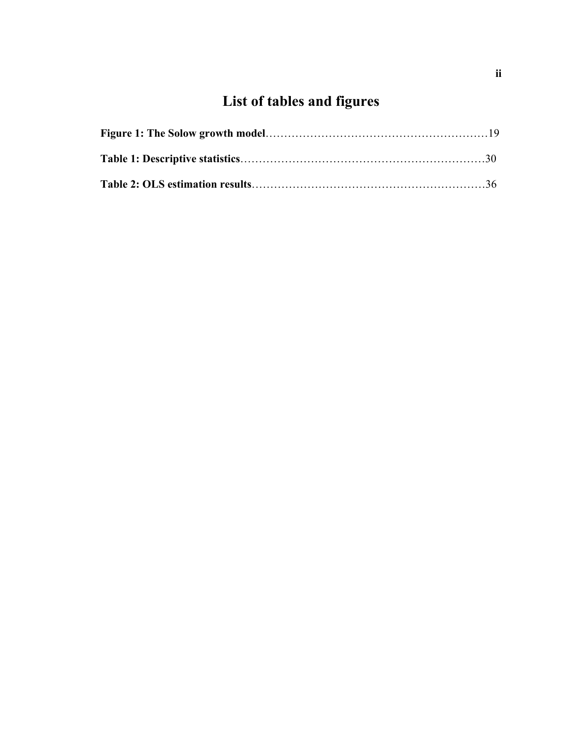# **List of tables and figures**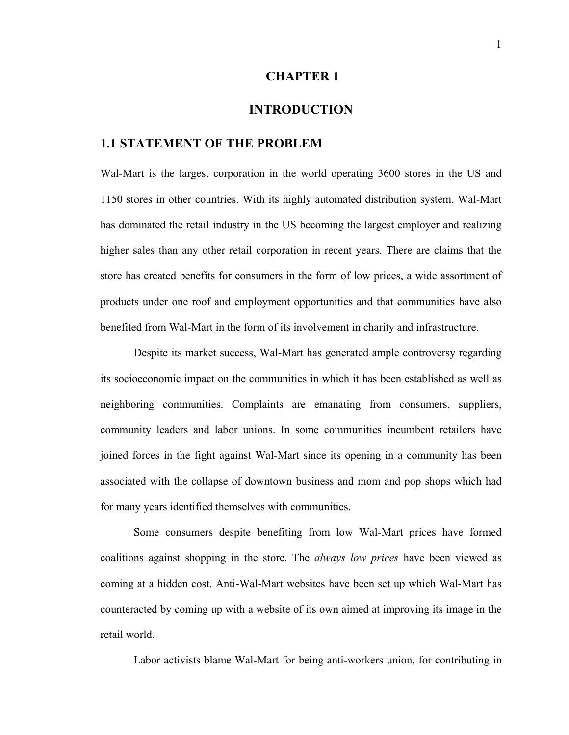#### **CHAPTER 1**

#### **INTRODUCTION**

#### **1.1 STATEMENT OF THE PROBLEM**

Wal-Mart is the largest corporation in the world operating 3600 stores in the US and 1150 stores in other countries. With its highly automated distribution system, Wal-Mart has dominated the retail industry in the US becoming the largest employer and realizing higher sales than any other retail corporation in recent years. There are claims that the store has created benefits for consumers in the form of low prices, a wide assortment of products under one roof and employment opportunities and that communities have also benefited from Wal-Mart in the form of its involvement in charity and infrastructure.

Despite its market success, Wal-Mart has generated ample controversy regarding its socioeconomic impact on the communities in which it has been established as well as neighboring communities. Complaints are emanating from consumers, suppliers, community leaders and labor unions. In some communities incumbent retailers have joined forces in the fight against Wal-Mart since its opening in a community has been associated with the collapse of downtown business and mom and pop shops which had for many years identified themselves with communities.

Some consumers despite benefiting from low Wal-Mart prices have formed coalitions against shopping in the store. The *always low prices* have been viewed as coming at a hidden cost. Anti-Wal-Mart websites have been set up which Wal-Mart has counteracted by coming up with a website of its own aimed at improving its image in the retail world.

Labor activists blame Wal-Mart for being anti-workers union, for contributing in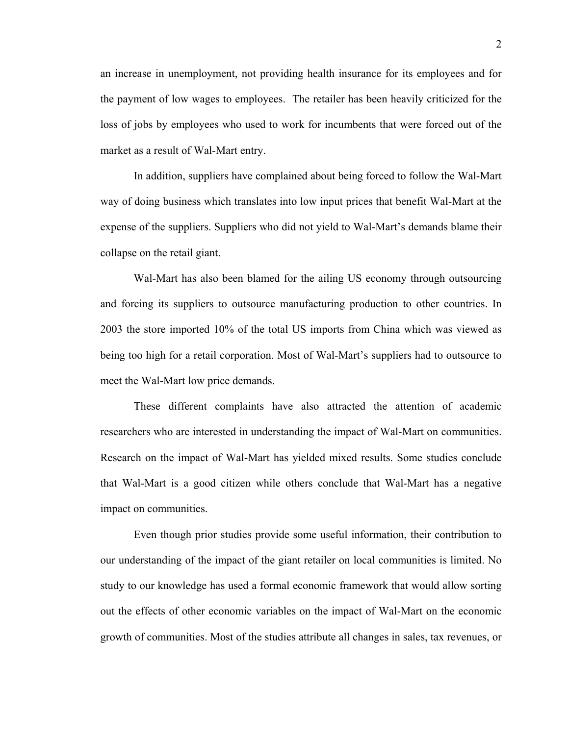an increase in unemployment, not providing health insurance for its employees and for the payment of low wages to employees. The retailer has been heavily criticized for the loss of jobs by employees who used to work for incumbents that were forced out of the market as a result of Wal-Mart entry.

In addition, suppliers have complained about being forced to follow the Wal-Mart way of doing business which translates into low input prices that benefit Wal-Mart at the expense of the suppliers. Suppliers who did not yield to Wal-Mart's demands blame their collapse on the retail giant.

Wal-Mart has also been blamed for the ailing US economy through outsourcing and forcing its suppliers to outsource manufacturing production to other countries. In 2003 the store imported 10% of the total US imports from China which was viewed as being too high for a retail corporation. Most of Wal-Mart's suppliers had to outsource to meet the Wal-Mart low price demands.

These different complaints have also attracted the attention of academic researchers who are interested in understanding the impact of Wal-Mart on communities. Research on the impact of Wal-Mart has yielded mixed results. Some studies conclude that Wal-Mart is a good citizen while others conclude that Wal-Mart has a negative impact on communities.

Even though prior studies provide some useful information, their contribution to our understanding of the impact of the giant retailer on local communities is limited. No study to our knowledge has used a formal economic framework that would allow sorting out the effects of other economic variables on the impact of Wal-Mart on the economic growth of communities. Most of the studies attribute all changes in sales, tax revenues, or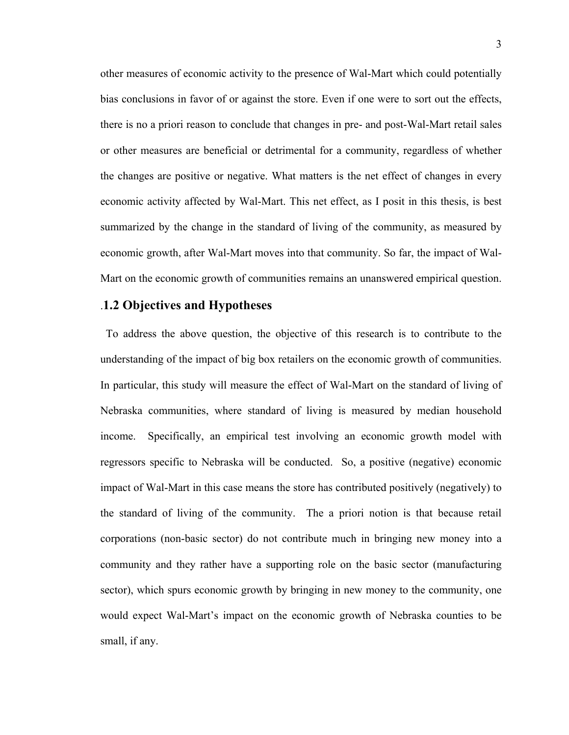other measures of economic activity to the presence of Wal-Mart which could potentially bias conclusions in favor of or against the store. Even if one were to sort out the effects, there is no a priori reason to conclude that changes in pre- and post-Wal-Mart retail sales or other measures are beneficial or detrimental for a community, regardless of whether the changes are positive or negative. What matters is the net effect of changes in every economic activity affected by Wal-Mart. This net effect, as I posit in this thesis, is best summarized by the change in the standard of living of the community, as measured by economic growth, after Wal-Mart moves into that community. So far, the impact of Wal-Mart on the economic growth of communities remains an unanswered empirical question.

#### .**1.2 Objectives and Hypotheses**

 To address the above question, the objective of this research is to contribute to the understanding of the impact of big box retailers on the economic growth of communities. In particular, this study will measure the effect of Wal-Mart on the standard of living of Nebraska communities, where standard of living is measured by median household income. Specifically, an empirical test involving an economic growth model with regressors specific to Nebraska will be conducted. So, a positive (negative) economic impact of Wal-Mart in this case means the store has contributed positively (negatively) to the standard of living of the community. The a priori notion is that because retail corporations (non-basic sector) do not contribute much in bringing new money into a community and they rather have a supporting role on the basic sector (manufacturing sector), which spurs economic growth by bringing in new money to the community, one would expect Wal-Mart's impact on the economic growth of Nebraska counties to be small, if any.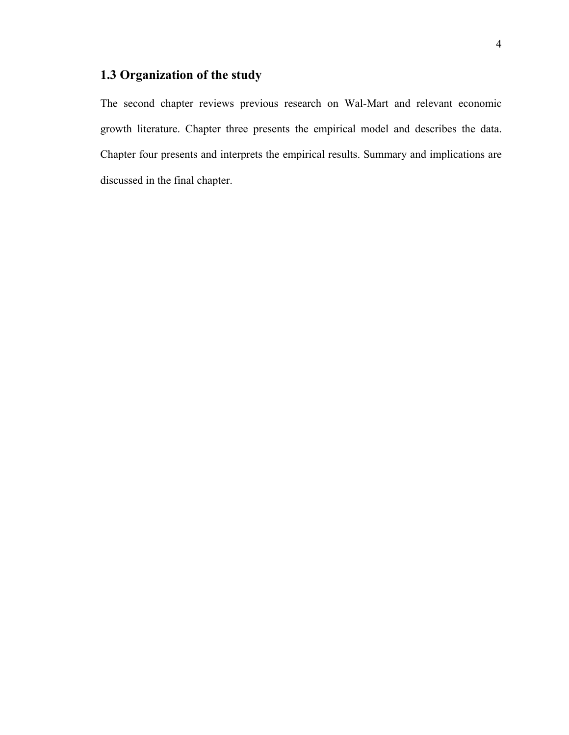## **1.3 Organization of the study**

The second chapter reviews previous research on Wal-Mart and relevant economic growth literature. Chapter three presents the empirical model and describes the data. Chapter four presents and interprets the empirical results. Summary and implications are discussed in the final chapter.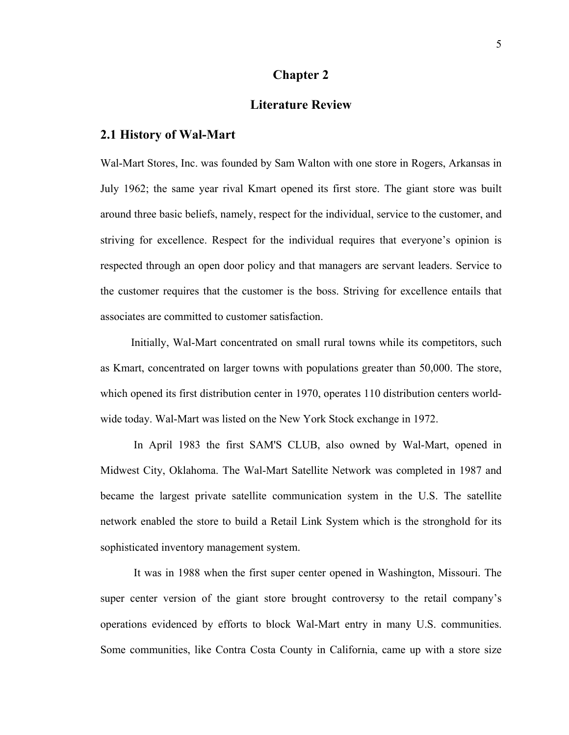#### **Chapter 2**

#### **Literature Review**

#### **2.1 History of Wal-Mart**

Wal-Mart Stores, Inc. was founded by Sam Walton with one store in Rogers, Arkansas in July 1962; the same year rival Kmart opened its first store. The giant store was built around three basic beliefs, namely, respect for the individual, service to the customer, and striving for excellence. Respect for the individual requires that everyone's opinion is respected through an open door policy and that managers are servant leaders. Service to the customer requires that the customer is the boss. Striving for excellence entails that associates are committed to customer satisfaction.

 Initially, Wal-Mart concentrated on small rural towns while its competitors, such as Kmart, concentrated on larger towns with populations greater than 50,000. The store, which opened its first distribution center in 1970, operates 110 distribution centers worldwide today. Wal-Mart was listed on the New York Stock exchange in 1972.

 In April 1983 the first SAM'S CLUB, also owned by Wal-Mart, opened in Midwest City, Oklahoma. The Wal-Mart Satellite Network was completed in 1987 and became the largest private satellite communication system in the U.S. The satellite network enabled the store to build a Retail Link System which is the stronghold for its sophisticated inventory management system.

 It was in 1988 when the first super center opened in Washington, Missouri. The super center version of the giant store brought controversy to the retail company's operations evidenced by efforts to block Wal-Mart entry in many U.S. communities. Some communities, like Contra Costa County in California, came up with a store size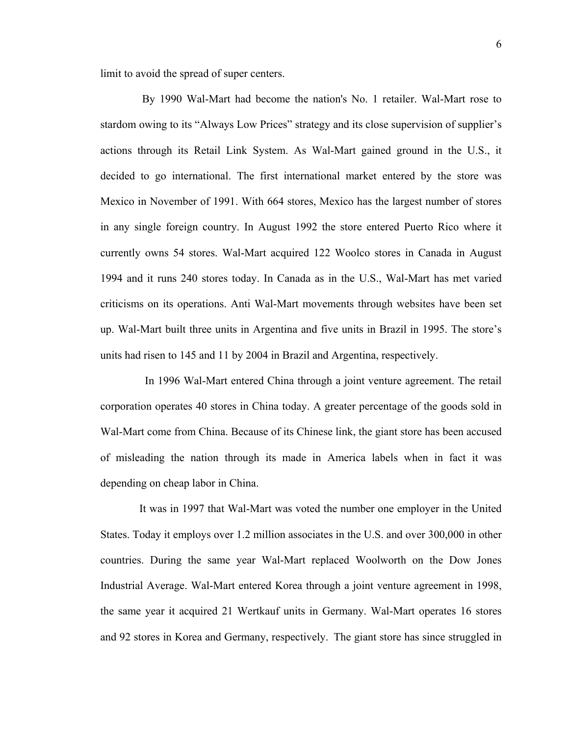limit to avoid the spread of super centers.

 By 1990 Wal-Mart had become the nation's No. 1 retailer. Wal-Mart rose to stardom owing to its "Always Low Prices" strategy and its close supervision of supplier's actions through its Retail Link System. As Wal-Mart gained ground in the U.S., it decided to go international. The first international market entered by the store was Mexico in November of 1991. With 664 stores, Mexico has the largest number of stores in any single foreign country. In August 1992 the store entered Puerto Rico where it currently owns 54 stores. Wal-Mart acquired 122 Woolco stores in Canada in August 1994 and it runs 240 stores today. In Canada as in the U.S., Wal-Mart has met varied criticisms on its operations. Anti Wal-Mart movements through websites have been set up. Wal-Mart built three units in Argentina and five units in Brazil in 1995. The store's units had risen to 145 and 11 by 2004 in Brazil and Argentina, respectively.

 In 1996 Wal-Mart entered China through a joint venture agreement. The retail corporation operates 40 stores in China today. A greater percentage of the goods sold in Wal-Mart come from China. Because of its Chinese link, the giant store has been accused of misleading the nation through its made in America labels when in fact it was depending on cheap labor in China.

 It was in 1997 that Wal-Mart was voted the number one employer in the United States. Today it employs over 1.2 million associates in the U.S. and over 300,000 in other countries. During the same year Wal-Mart replaced Woolworth on the Dow Jones Industrial Average. Wal-Mart entered Korea through a joint venture agreement in 1998, the same year it acquired 21 Wertkauf units in Germany. Wal-Mart operates 16 stores and 92 stores in Korea and Germany, respectively. The giant store has since struggled in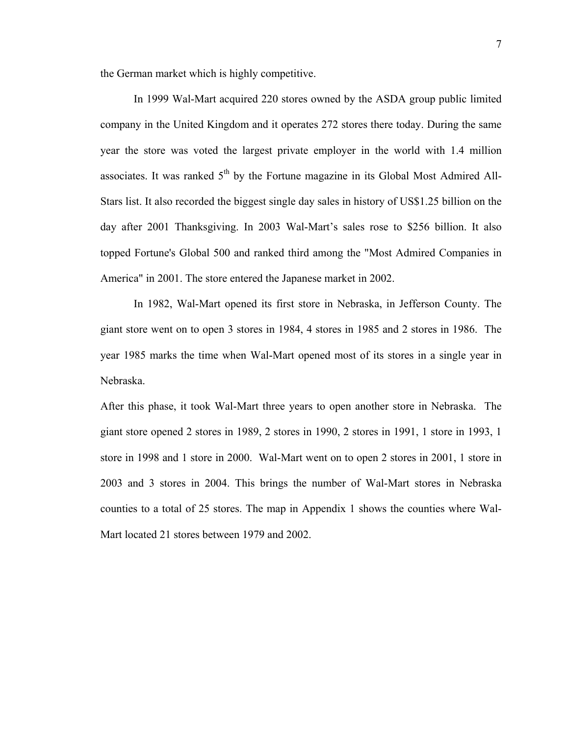the German market which is highly competitive.

 In 1999 Wal-Mart acquired 220 stores owned by the ASDA group public limited company in the United Kingdom and it operates 272 stores there today. During the same year the store was voted the largest private employer in the world with 1.4 million associates. It was ranked  $5<sup>th</sup>$  by the Fortune magazine in its Global Most Admired All-Stars list. It also recorded the biggest single day sales in history of US\$1.25 billion on the day after 2001 Thanksgiving. In 2003 Wal-Mart's sales rose to \$256 billion. It also topped Fortune's Global 500 and ranked third among the "Most Admired Companies in America" in 2001. The store entered the Japanese market in 2002.

 In 1982, Wal-Mart opened its first store in Nebraska, in Jefferson County. The giant store went on to open 3 stores in 1984, 4 stores in 1985 and 2 stores in 1986. The year 1985 marks the time when Wal-Mart opened most of its stores in a single year in Nebraska.

After this phase, it took Wal-Mart three years to open another store in Nebraska. The giant store opened 2 stores in 1989, 2 stores in 1990, 2 stores in 1991, 1 store in 1993, 1 store in 1998 and 1 store in 2000. Wal-Mart went on to open 2 stores in 2001, 1 store in 2003 and 3 stores in 2004. This brings the number of Wal-Mart stores in Nebraska counties to a total of 25 stores. The map in Appendix 1 shows the counties where Wal-Mart located 21 stores between 1979 and 2002.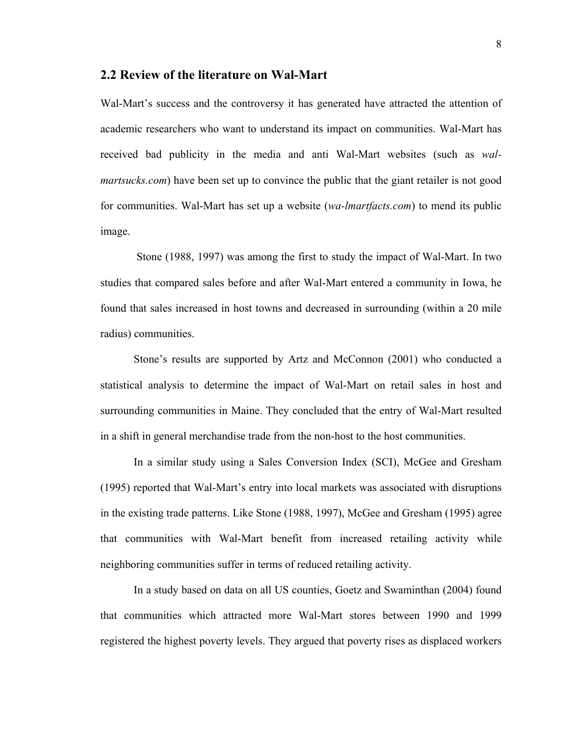#### **2.2 Review of the literature on Wal-Mart**

Wal-Mart's success and the controversy it has generated have attracted the attention of academic researchers who want to understand its impact on communities. Wal-Mart has received bad publicity in the media and anti Wal-Mart websites (such as *walmartsucks.com*) have been set up to convince the public that the giant retailer is not good for communities. Wal-Mart has set up a website (*wa-lmartfacts.com*) to mend its public image.

 Stone (1988, 1997) was among the first to study the impact of Wal-Mart. In two studies that compared sales before and after Wal-Mart entered a community in Iowa, he found that sales increased in host towns and decreased in surrounding (within a 20 mile radius) communities.

Stone's results are supported by Artz and McConnon (2001) who conducted a statistical analysis to determine the impact of Wal-Mart on retail sales in host and surrounding communities in Maine. They concluded that the entry of Wal-Mart resulted in a shift in general merchandise trade from the non-host to the host communities.

In a similar study using a Sales Conversion Index (SCI), McGee and Gresham (1995) reported that Wal-Mart's entry into local markets was associated with disruptions in the existing trade patterns. Like Stone (1988, 1997), McGee and Gresham (1995) agree that communities with Wal-Mart benefit from increased retailing activity while neighboring communities suffer in terms of reduced retailing activity.

In a study based on data on all US counties, Goetz and Swaminthan (2004) found that communities which attracted more Wal-Mart stores between 1990 and 1999 registered the highest poverty levels. They argued that poverty rises as displaced workers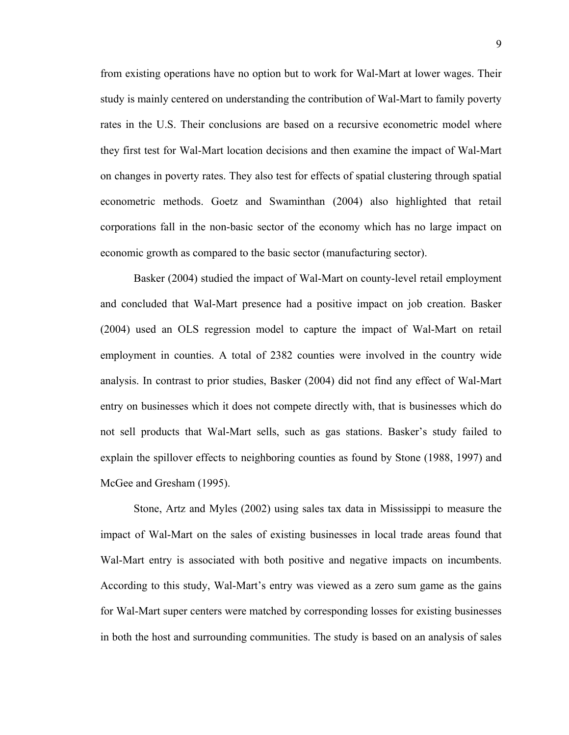from existing operations have no option but to work for Wal-Mart at lower wages. Their study is mainly centered on understanding the contribution of Wal-Mart to family poverty rates in the U.S. Their conclusions are based on a recursive econometric model where they first test for Wal-Mart location decisions and then examine the impact of Wal-Mart on changes in poverty rates. They also test for effects of spatial clustering through spatial econometric methods. Goetz and Swaminthan (2004) also highlighted that retail corporations fall in the non-basic sector of the economy which has no large impact on economic growth as compared to the basic sector (manufacturing sector).

Basker (2004) studied the impact of Wal-Mart on county-level retail employment and concluded that Wal-Mart presence had a positive impact on job creation. Basker (2004) used an OLS regression model to capture the impact of Wal-Mart on retail employment in counties. A total of 2382 counties were involved in the country wide analysis. In contrast to prior studies, Basker (2004) did not find any effect of Wal-Mart entry on businesses which it does not compete directly with, that is businesses which do not sell products that Wal-Mart sells, such as gas stations. Basker's study failed to explain the spillover effects to neighboring counties as found by Stone (1988, 1997) and McGee and Gresham (1995).

Stone, Artz and Myles (2002) using sales tax data in Mississippi to measure the impact of Wal-Mart on the sales of existing businesses in local trade areas found that Wal-Mart entry is associated with both positive and negative impacts on incumbents. According to this study, Wal-Mart's entry was viewed as a zero sum game as the gains for Wal-Mart super centers were matched by corresponding losses for existing businesses in both the host and surrounding communities. The study is based on an analysis of sales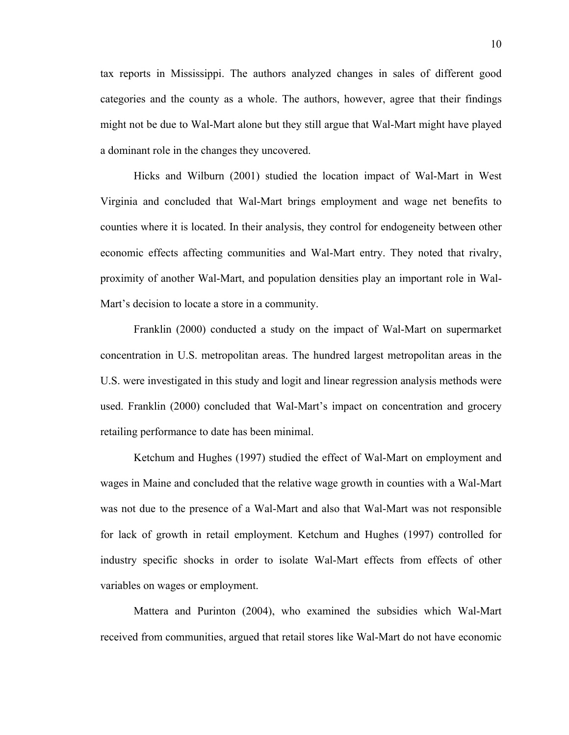tax reports in Mississippi. The authors analyzed changes in sales of different good categories and the county as a whole. The authors, however, agree that their findings might not be due to Wal-Mart alone but they still argue that Wal-Mart might have played a dominant role in the changes they uncovered.

Hicks and Wilburn (2001) studied the location impact of Wal-Mart in West Virginia and concluded that Wal-Mart brings employment and wage net benefits to counties where it is located. In their analysis, they control for endogeneity between other economic effects affecting communities and Wal-Mart entry. They noted that rivalry, proximity of another Wal-Mart, and population densities play an important role in Wal-Mart's decision to locate a store in a community.

Franklin (2000) conducted a study on the impact of Wal-Mart on supermarket concentration in U.S. metropolitan areas. The hundred largest metropolitan areas in the U.S. were investigated in this study and logit and linear regression analysis methods were used. Franklin (2000) concluded that Wal-Mart's impact on concentration and grocery retailing performance to date has been minimal.

Ketchum and Hughes (1997) studied the effect of Wal-Mart on employment and wages in Maine and concluded that the relative wage growth in counties with a Wal-Mart was not due to the presence of a Wal-Mart and also that Wal-Mart was not responsible for lack of growth in retail employment. Ketchum and Hughes (1997) controlled for industry specific shocks in order to isolate Wal-Mart effects from effects of other variables on wages or employment.

Mattera and Purinton (2004), who examined the subsidies which Wal-Mart received from communities, argued that retail stores like Wal-Mart do not have economic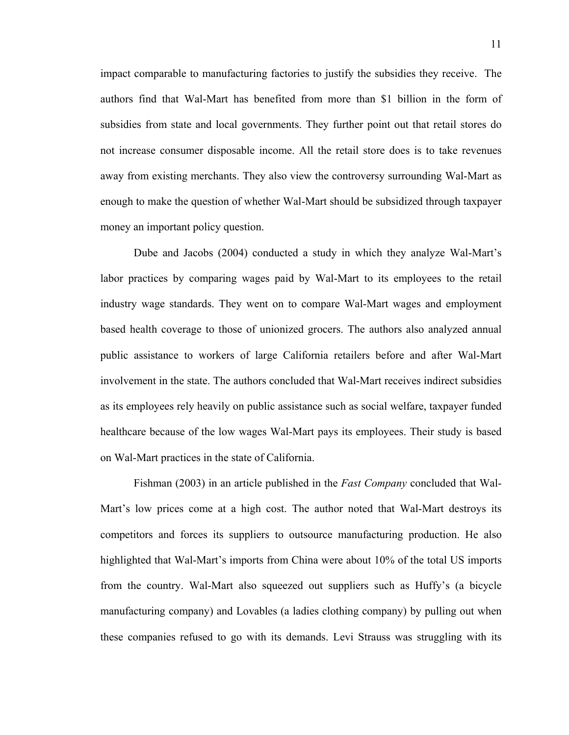impact comparable to manufacturing factories to justify the subsidies they receive. The authors find that Wal-Mart has benefited from more than \$1 billion in the form of subsidies from state and local governments. They further point out that retail stores do not increase consumer disposable income. All the retail store does is to take revenues away from existing merchants. They also view the controversy surrounding Wal-Mart as enough to make the question of whether Wal-Mart should be subsidized through taxpayer money an important policy question.

Dube and Jacobs (2004) conducted a study in which they analyze Wal-Mart's labor practices by comparing wages paid by Wal-Mart to its employees to the retail industry wage standards. They went on to compare Wal-Mart wages and employment based health coverage to those of unionized grocers. The authors also analyzed annual public assistance to workers of large California retailers before and after Wal-Mart involvement in the state. The authors concluded that Wal-Mart receives indirect subsidies as its employees rely heavily on public assistance such as social welfare, taxpayer funded healthcare because of the low wages Wal-Mart pays its employees. Their study is based on Wal-Mart practices in the state of California.

Fishman (2003) in an article published in the *Fast Company* concluded that Wal-Mart's low prices come at a high cost. The author noted that Wal-Mart destroys its competitors and forces its suppliers to outsource manufacturing production. He also highlighted that Wal-Mart's imports from China were about 10% of the total US imports from the country. Wal-Mart also squeezed out suppliers such as Huffy's (a bicycle manufacturing company) and Lovables (a ladies clothing company) by pulling out when these companies refused to go with its demands. Levi Strauss was struggling with its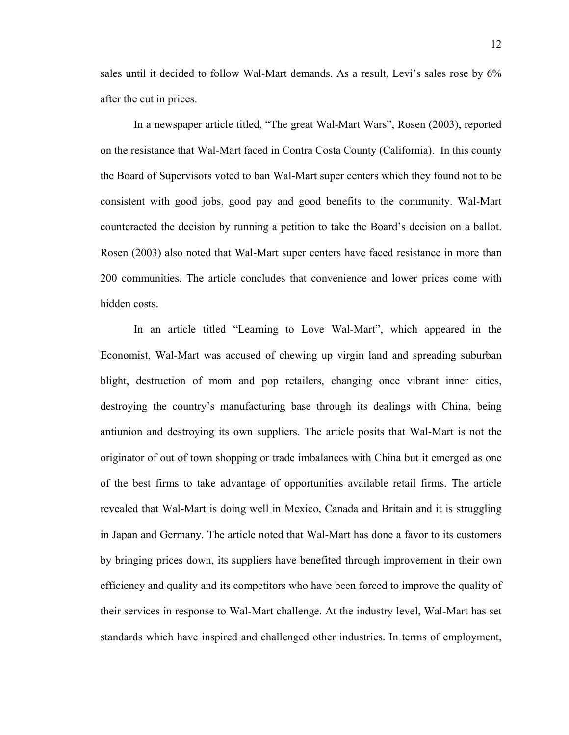sales until it decided to follow Wal-Mart demands. As a result, Levi's sales rose by 6% after the cut in prices.

In a newspaper article titled, "The great Wal-Mart Wars", Rosen (2003), reported on the resistance that Wal-Mart faced in Contra Costa County (California). In this county the Board of Supervisors voted to ban Wal-Mart super centers which they found not to be consistent with good jobs, good pay and good benefits to the community. Wal-Mart counteracted the decision by running a petition to take the Board's decision on a ballot. Rosen (2003) also noted that Wal-Mart super centers have faced resistance in more than 200 communities. The article concludes that convenience and lower prices come with hidden costs.

In an article titled "Learning to Love Wal-Mart", which appeared in the Economist, Wal-Mart was accused of chewing up virgin land and spreading suburban blight, destruction of mom and pop retailers, changing once vibrant inner cities, destroying the country's manufacturing base through its dealings with China, being antiunion and destroying its own suppliers. The article posits that Wal-Mart is not the originator of out of town shopping or trade imbalances with China but it emerged as one of the best firms to take advantage of opportunities available retail firms. The article revealed that Wal-Mart is doing well in Mexico, Canada and Britain and it is struggling in Japan and Germany. The article noted that Wal-Mart has done a favor to its customers by bringing prices down, its suppliers have benefited through improvement in their own efficiency and quality and its competitors who have been forced to improve the quality of their services in response to Wal-Mart challenge. At the industry level, Wal-Mart has set standards which have inspired and challenged other industries. In terms of employment,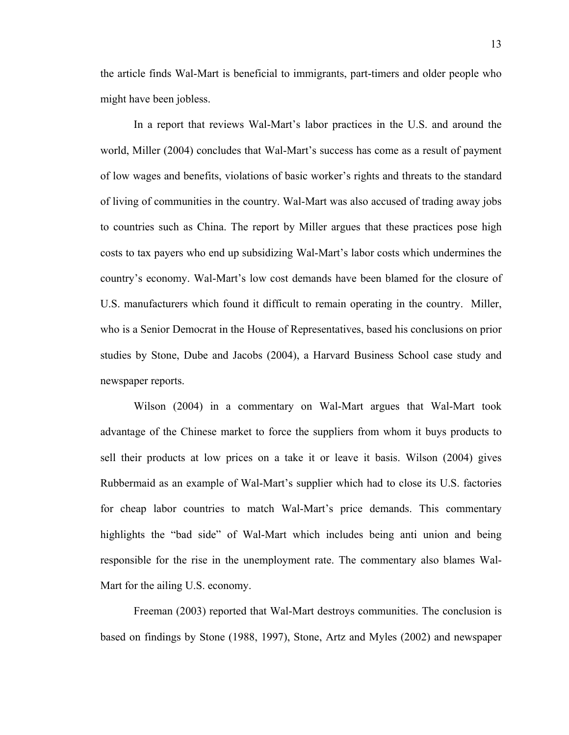the article finds Wal-Mart is beneficial to immigrants, part-timers and older people who might have been jobless.

In a report that reviews Wal-Mart's labor practices in the U.S. and around the world, Miller (2004) concludes that Wal-Mart's success has come as a result of payment of low wages and benefits, violations of basic worker's rights and threats to the standard of living of communities in the country. Wal-Mart was also accused of trading away jobs to countries such as China. The report by Miller argues that these practices pose high costs to tax payers who end up subsidizing Wal-Mart's labor costs which undermines the country's economy. Wal-Mart's low cost demands have been blamed for the closure of U.S. manufacturers which found it difficult to remain operating in the country. Miller, who is a Senior Democrat in the House of Representatives, based his conclusions on prior studies by Stone, Dube and Jacobs (2004), a Harvard Business School case study and newspaper reports.

Wilson (2004) in a commentary on Wal-Mart argues that Wal-Mart took advantage of the Chinese market to force the suppliers from whom it buys products to sell their products at low prices on a take it or leave it basis. Wilson (2004) gives Rubbermaid as an example of Wal-Mart's supplier which had to close its U.S. factories for cheap labor countries to match Wal-Mart's price demands. This commentary highlights the "bad side" of Wal-Mart which includes being anti union and being responsible for the rise in the unemployment rate. The commentary also blames Wal-Mart for the ailing U.S. economy.

Freeman (2003) reported that Wal-Mart destroys communities. The conclusion is based on findings by Stone (1988, 1997), Stone, Artz and Myles (2002) and newspaper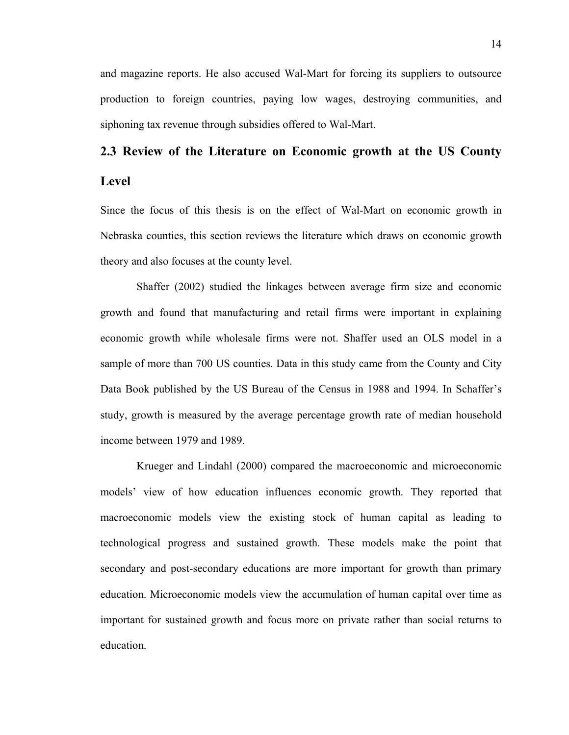and magazine reports. He also accused Wal-Mart for forcing its suppliers to outsource production to foreign countries, paying low wages, destroying communities, and siphoning tax revenue through subsidies offered to Wal-Mart.

# **2.3 Review of the Literature on Economic growth at the US County Level**

Since the focus of this thesis is on the effect of Wal-Mart on economic growth in Nebraska counties, this section reviews the literature which draws on economic growth theory and also focuses at the county level.

 Shaffer (2002) studied the linkages between average firm size and economic growth and found that manufacturing and retail firms were important in explaining economic growth while wholesale firms were not. Shaffer used an OLS model in a sample of more than 700 US counties. Data in this study came from the County and City Data Book published by the US Bureau of the Census in 1988 and 1994. In Schaffer's study, growth is measured by the average percentage growth rate of median household income between 1979 and 1989.

 Krueger and Lindahl (2000) compared the macroeconomic and microeconomic models' view of how education influences economic growth. They reported that macroeconomic models view the existing stock of human capital as leading to technological progress and sustained growth. These models make the point that secondary and post-secondary educations are more important for growth than primary education. Microeconomic models view the accumulation of human capital over time as important for sustained growth and focus more on private rather than social returns to education.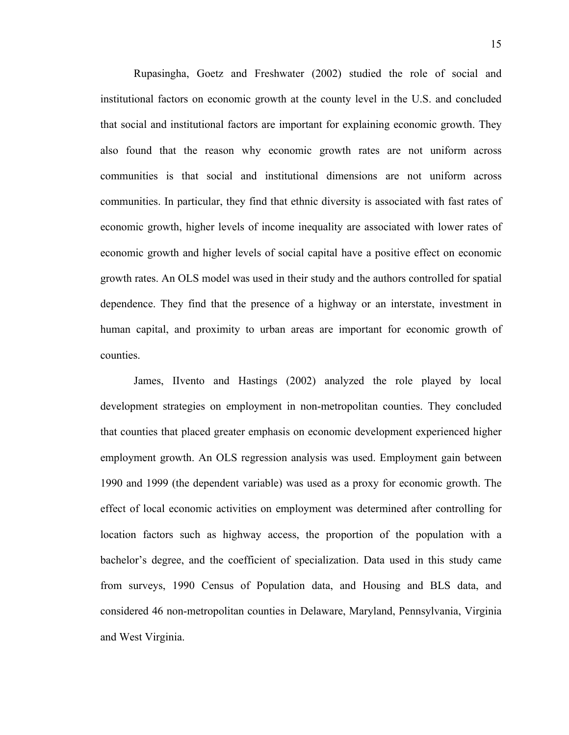Rupasingha, Goetz and Freshwater (2002) studied the role of social and institutional factors on economic growth at the county level in the U.S. and concluded that social and institutional factors are important for explaining economic growth. They also found that the reason why economic growth rates are not uniform across communities is that social and institutional dimensions are not uniform across communities. In particular, they find that ethnic diversity is associated with fast rates of economic growth, higher levels of income inequality are associated with lower rates of economic growth and higher levels of social capital have a positive effect on economic growth rates. An OLS model was used in their study and the authors controlled for spatial dependence. They find that the presence of a highway or an interstate, investment in human capital, and proximity to urban areas are important for economic growth of counties.

James, IIvento and Hastings (2002) analyzed the role played by local development strategies on employment in non-metropolitan counties. They concluded that counties that placed greater emphasis on economic development experienced higher employment growth. An OLS regression analysis was used. Employment gain between 1990 and 1999 (the dependent variable) was used as a proxy for economic growth. The effect of local economic activities on employment was determined after controlling for location factors such as highway access, the proportion of the population with a bachelor's degree, and the coefficient of specialization. Data used in this study came from surveys, 1990 Census of Population data, and Housing and BLS data, and considered 46 non-metropolitan counties in Delaware, Maryland, Pennsylvania, Virginia and West Virginia.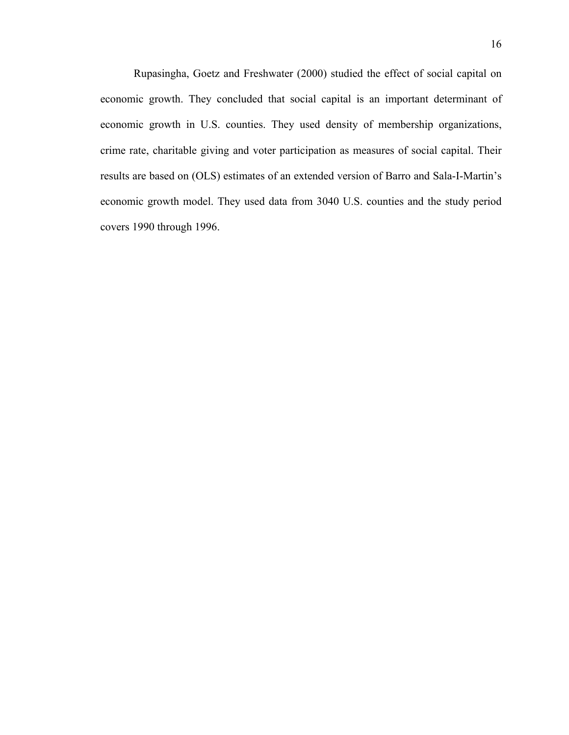Rupasingha, Goetz and Freshwater (2000) studied the effect of social capital on economic growth. They concluded that social capital is an important determinant of economic growth in U.S. counties. They used density of membership organizations, crime rate, charitable giving and voter participation as measures of social capital. Their results are based on (OLS) estimates of an extended version of Barro and Sala-I-Martin's economic growth model. They used data from 3040 U.S. counties and the study period covers 1990 through 1996.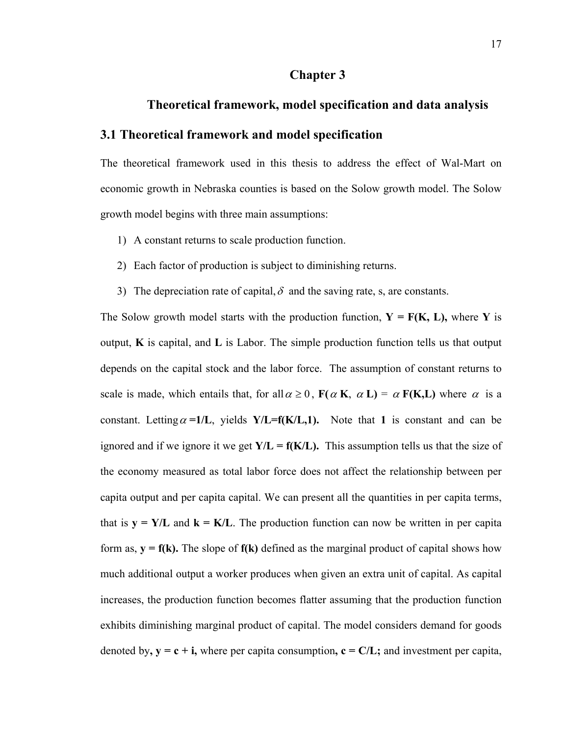#### **Chapter 3**

#### **Theoretical framework, model specification and data analysis**

#### **3.1 Theoretical framework and model specification**

The theoretical framework used in this thesis to address the effect of Wal-Mart on economic growth in Nebraska counties is based on the Solow growth model. The Solow growth model begins with three main assumptions:

- 1) A constant returns to scale production function.
- 2) Each factor of production is subject to diminishing returns.
- 3) The depreciation rate of capital,  $\delta$  and the saving rate, s, are constants.

The Solow growth model starts with the production function,  $Y = F(K, L)$ , where Y is output, **K** is capital, and **L** is Labor. The simple production function tells us that output depends on the capital stock and the labor force. The assumption of constant returns to scale is made, which entails that, for all  $\alpha \ge 0$ ,  $F(\alpha K, \alpha L) = \alpha F(K, L)$  where  $\alpha$  is a constant. Letting  $\alpha = 1/L$ , yields **Y**/L=f(**K**/L,1). Note that 1 is constant and can be ignored and if we ignore it we get  $Y/L = f(K/L)$ . This assumption tells us that the size of the economy measured as total labor force does not affect the relationship between per capita output and per capita capital. We can present all the quantities in per capita terms, that is  $y = Y/L$  and  $k = K/L$ . The production function can now be written in per capita form as,  $y = f(k)$ . The slope of  $f(k)$  defined as the marginal product of capital shows how much additional output a worker produces when given an extra unit of capital. As capital increases, the production function becomes flatter assuming that the production function exhibits diminishing marginal product of capital. The model considers demand for goods denoted by,  $y = c + i$ , where per capita consumption,  $c = C/L$ ; and investment per capita,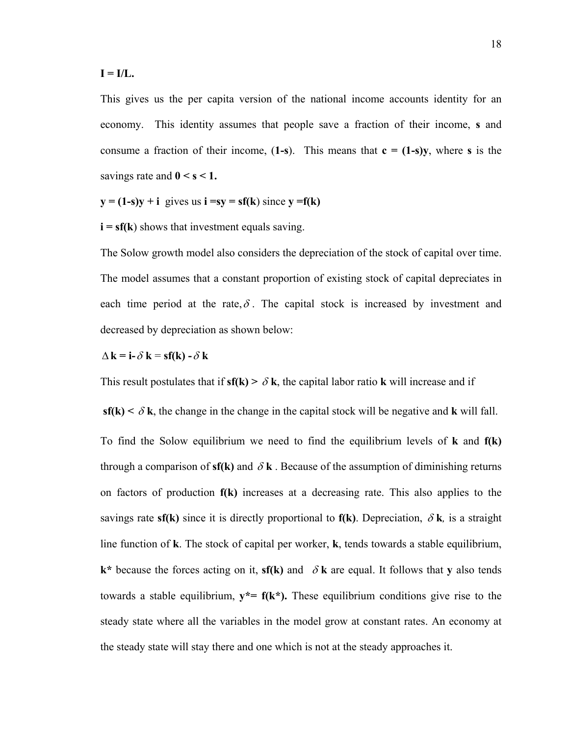#### $I = I/L$ .

This gives us the per capita version of the national income accounts identity for an economy. This identity assumes that people save a fraction of their income, **s** and consume a fraction of their income,  $(1-s)$ . This means that  $c = (1-s)y$ , where s is the savings rate and  $0 < s < 1$ .

$$
y = (1-s)y + i
$$
 gives us  $i = sy = sf(k)$  since  $y = f(k)$ 

 $\mathbf{i} = \mathbf{s} \mathbf{f}(\mathbf{k})$  shows that investment equals saving.

The Solow growth model also considers the depreciation of the stock of capital over time. The model assumes that a constant proportion of existing stock of capital depreciates in each time period at the rate,  $\delta$ . The capital stock is increased by investment and decreased by depreciation as shown below:

$$
\Delta \mathbf{k} = \mathbf{i} \cdot \delta \mathbf{k} = \mathbf{sf(k)} \cdot \delta \mathbf{k}
$$

This result postulates that if  $sf(k) > \delta k$ , the capital labor ratio **k** will increase and if

**sf(k)**  $\< \delta$ **k**, the change in the change in the capital stock will be negative and **k** will fall. To find the Solow equilibrium we need to find the equilibrium levels of **k** and **f(k)**  through a comparison of  $sf(k)$  and  $\delta k$ . Because of the assumption of diminishing returns on factors of production **f(k)** increases at a decreasing rate. This also applies to the savings rate **sf(k)** since it is directly proportional to **f(k)**. Depreciation,  $\delta$ **k**, is a straight line function of **k**. The stock of capital per worker, **k**, tends towards a stable equilibrium,  $k^*$  because the forces acting on it, **sf(k)** and  $\delta k$  are equal. It follows that **y** also tends towards a stable equilibrium,  $y^* = f(k^*)$ . These equilibrium conditions give rise to the steady state where all the variables in the model grow at constant rates. An economy at the steady state will stay there and one which is not at the steady approaches it.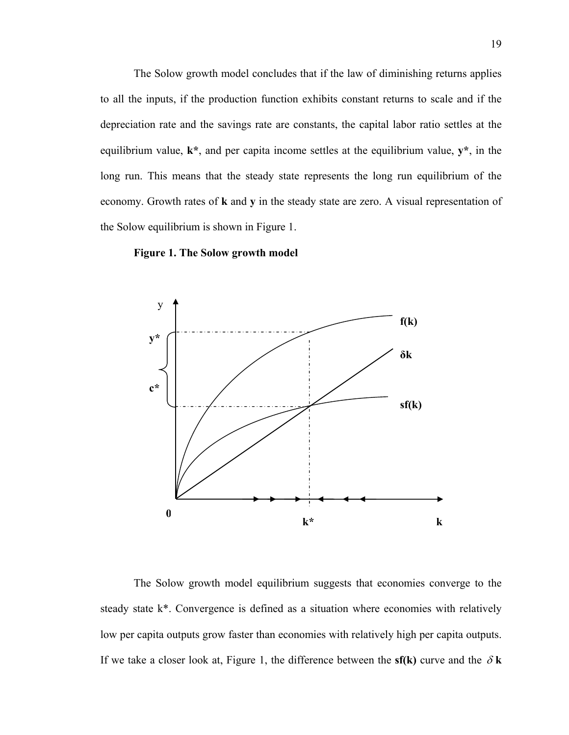The Solow growth model concludes that if the law of diminishing returns applies to all the inputs, if the production function exhibits constant returns to scale and if the depreciation rate and the savings rate are constants, the capital labor ratio settles at the equilibrium value, **k\***, and per capita income settles at the equilibrium value, **y\***, in the long run. This means that the steady state represents the long run equilibrium of the economy. Growth rates of **k** and **y** in the steady state are zero. A visual representation of the Solow equilibrium is shown in Figure 1.





The Solow growth model equilibrium suggests that economies converge to the steady state k\*. Convergence is defined as a situation where economies with relatively low per capita outputs grow faster than economies with relatively high per capita outputs. If we take a closer look at, Figure 1, the difference between the  $sf(k)$  curve and the  $\delta k$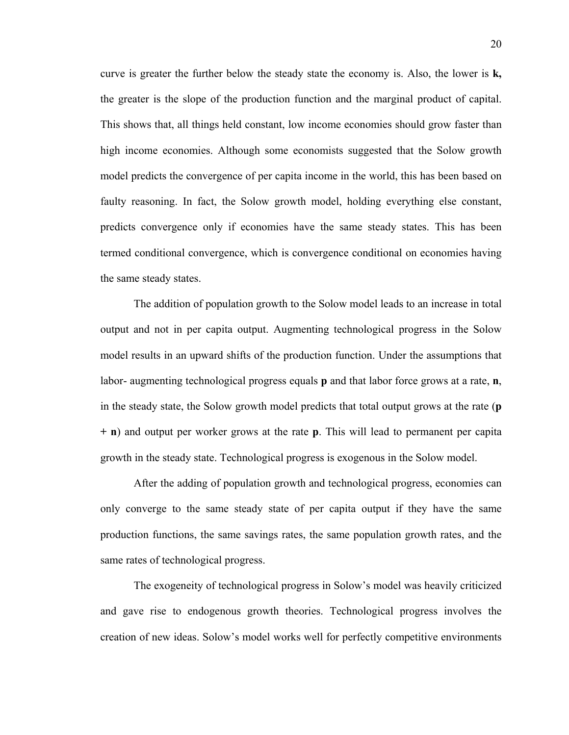curve is greater the further below the steady state the economy is. Also, the lower is **k,**  the greater is the slope of the production function and the marginal product of capital. This shows that, all things held constant, low income economies should grow faster than high income economies. Although some economists suggested that the Solow growth model predicts the convergence of per capita income in the world, this has been based on faulty reasoning. In fact, the Solow growth model, holding everything else constant, predicts convergence only if economies have the same steady states. This has been termed conditional convergence, which is convergence conditional on economies having the same steady states.

The addition of population growth to the Solow model leads to an increase in total output and not in per capita output. Augmenting technological progress in the Solow model results in an upward shifts of the production function. Under the assumptions that labor- augmenting technological progress equals **p** and that labor force grows at a rate, **n**, in the steady state, the Solow growth model predicts that total output grows at the rate (**p + n**) and output per worker grows at the rate **p**. This will lead to permanent per capita growth in the steady state. Technological progress is exogenous in the Solow model.

After the adding of population growth and technological progress, economies can only converge to the same steady state of per capita output if they have the same production functions, the same savings rates, the same population growth rates, and the same rates of technological progress.

The exogeneity of technological progress in Solow's model was heavily criticized and gave rise to endogenous growth theories. Technological progress involves the creation of new ideas. Solow's model works well for perfectly competitive environments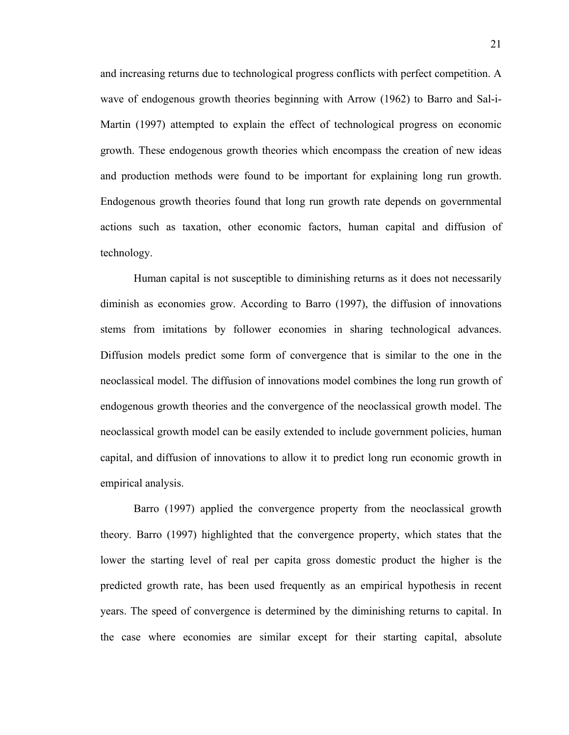and increasing returns due to technological progress conflicts with perfect competition. A wave of endogenous growth theories beginning with Arrow (1962) to Barro and Sal-i-Martin (1997) attempted to explain the effect of technological progress on economic growth. These endogenous growth theories which encompass the creation of new ideas and production methods were found to be important for explaining long run growth. Endogenous growth theories found that long run growth rate depends on governmental actions such as taxation, other economic factors, human capital and diffusion of technology.

Human capital is not susceptible to diminishing returns as it does not necessarily diminish as economies grow. According to Barro (1997), the diffusion of innovations stems from imitations by follower economies in sharing technological advances. Diffusion models predict some form of convergence that is similar to the one in the neoclassical model. The diffusion of innovations model combines the long run growth of endogenous growth theories and the convergence of the neoclassical growth model. The neoclassical growth model can be easily extended to include government policies, human capital, and diffusion of innovations to allow it to predict long run economic growth in empirical analysis.

Barro (1997) applied the convergence property from the neoclassical growth theory. Barro (1997) highlighted that the convergence property, which states that the lower the starting level of real per capita gross domestic product the higher is the predicted growth rate, has been used frequently as an empirical hypothesis in recent years. The speed of convergence is determined by the diminishing returns to capital. In the case where economies are similar except for their starting capital, absolute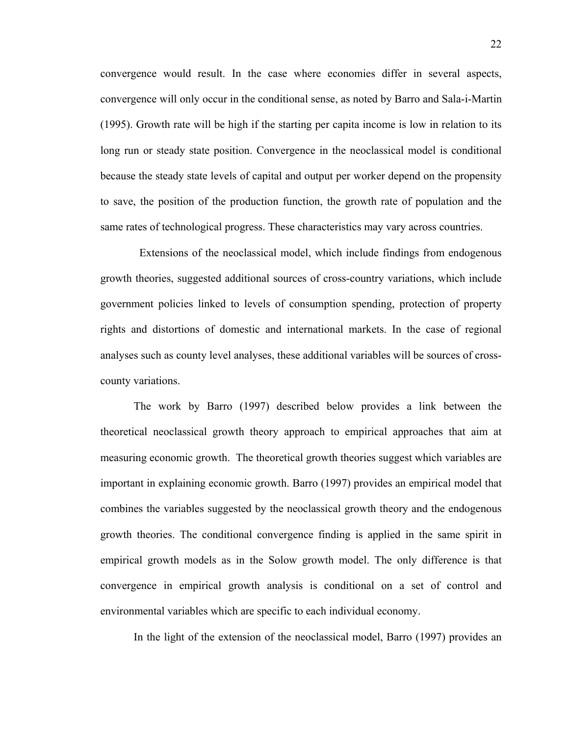convergence would result. In the case where economies differ in several aspects, convergence will only occur in the conditional sense, as noted by Barro and Sala-i-Martin (1995). Growth rate will be high if the starting per capita income is low in relation to its long run or steady state position. Convergence in the neoclassical model is conditional because the steady state levels of capital and output per worker depend on the propensity to save, the position of the production function, the growth rate of population and the same rates of technological progress. These characteristics may vary across countries.

 Extensions of the neoclassical model, which include findings from endogenous growth theories, suggested additional sources of cross-country variations, which include government policies linked to levels of consumption spending, protection of property rights and distortions of domestic and international markets. In the case of regional analyses such as county level analyses, these additional variables will be sources of crosscounty variations.

The work by Barro (1997) described below provides a link between the theoretical neoclassical growth theory approach to empirical approaches that aim at measuring economic growth. The theoretical growth theories suggest which variables are important in explaining economic growth. Barro (1997) provides an empirical model that combines the variables suggested by the neoclassical growth theory and the endogenous growth theories. The conditional convergence finding is applied in the same spirit in empirical growth models as in the Solow growth model. The only difference is that convergence in empirical growth analysis is conditional on a set of control and environmental variables which are specific to each individual economy.

In the light of the extension of the neoclassical model, Barro (1997) provides an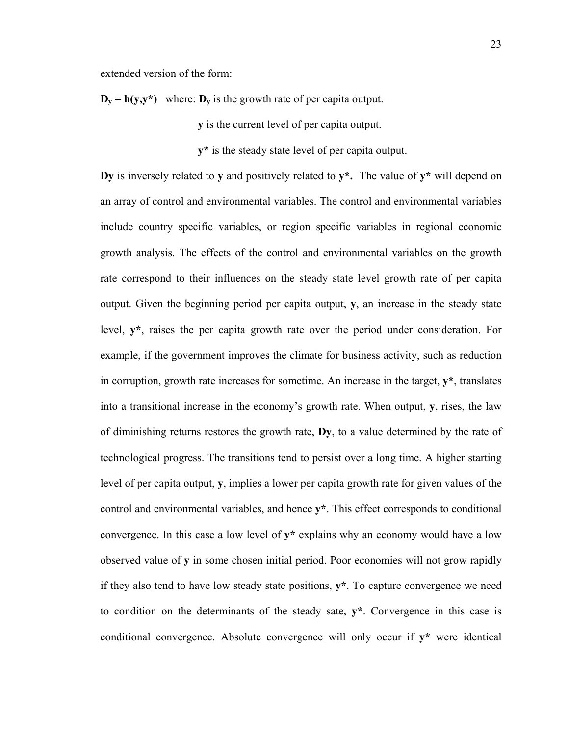extended version of the form:

 $D_v = h(y, y^*)$  where:  $D_v$  is the growth rate of per capita output.

**y** is the current level of per capita output.

 **y\*** is the steady state level of per capita output.

**Dy** is inversely related to **y** and positively related to **y\*.** The value of **y\*** will depend on an array of control and environmental variables. The control and environmental variables include country specific variables, or region specific variables in regional economic growth analysis. The effects of the control and environmental variables on the growth rate correspond to their influences on the steady state level growth rate of per capita output. Given the beginning period per capita output, **y**, an increase in the steady state level, **y\***, raises the per capita growth rate over the period under consideration. For example, if the government improves the climate for business activity, such as reduction in corruption, growth rate increases for sometime. An increase in the target, **y\***, translates into a transitional increase in the economy's growth rate. When output, **y**, rises, the law of diminishing returns restores the growth rate, **Dy**, to a value determined by the rate of technological progress. The transitions tend to persist over a long time. A higher starting level of per capita output, **y**, implies a lower per capita growth rate for given values of the control and environmental variables, and hence **y\***. This effect corresponds to conditional convergence. In this case a low level of **y\*** explains why an economy would have a low observed value of **y** in some chosen initial period. Poor economies will not grow rapidly if they also tend to have low steady state positions, **y\***. To capture convergence we need to condition on the determinants of the steady sate, **y\***. Convergence in this case is conditional convergence. Absolute convergence will only occur if **y\*** were identical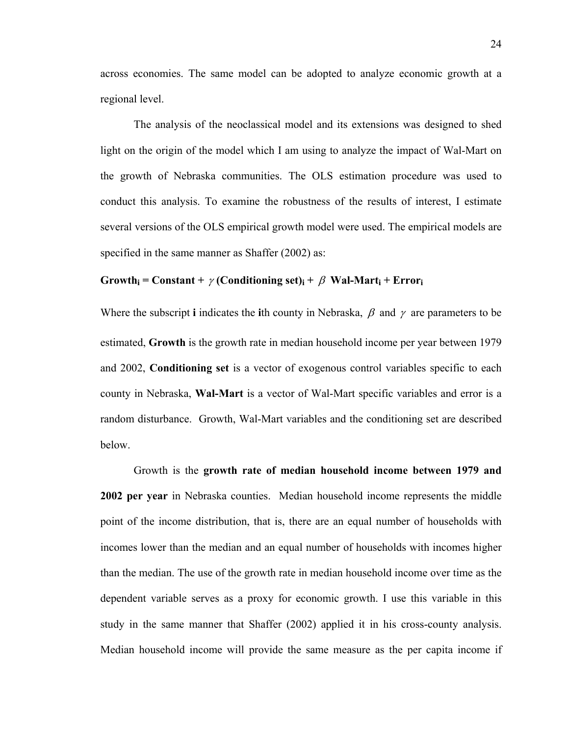across economies. The same model can be adopted to analyze economic growth at a regional level.

The analysis of the neoclassical model and its extensions was designed to shed light on the origin of the model which I am using to analyze the impact of Wal-Mart on the growth of Nebraska communities. The OLS estimation procedure was used to conduct this analysis. To examine the robustness of the results of interest, I estimate several versions of the OLS empirical growth model were used. The empirical models are specified in the same manner as Shaffer (2002) as:

#### $Growth_i = Constant + \gamma (Conditioning set)_i + \beta Wal-Mart_i + Error_i$

Where the subscript **i** indicates the **i**th county in Nebraska,  $\beta$  and  $\gamma$  are parameters to be estimated, **Growth** is the growth rate in median household income per year between 1979 and 2002, **Conditioning set** is a vector of exogenous control variables specific to each county in Nebraska, **Wal-Mart** is a vector of Wal-Mart specific variables and error is a random disturbance. Growth, Wal-Mart variables and the conditioning set are described below.

Growth is the **growth rate of median household income between 1979 and 2002 per year** in Nebraska counties. Median household income represents the middle point of the income distribution, that is, there are an equal number of households with incomes lower than the median and an equal number of households with incomes higher than the median. The use of the growth rate in median household income over time as the dependent variable serves as a proxy for economic growth. I use this variable in this study in the same manner that Shaffer (2002) applied it in his cross-county analysis. Median household income will provide the same measure as the per capita income if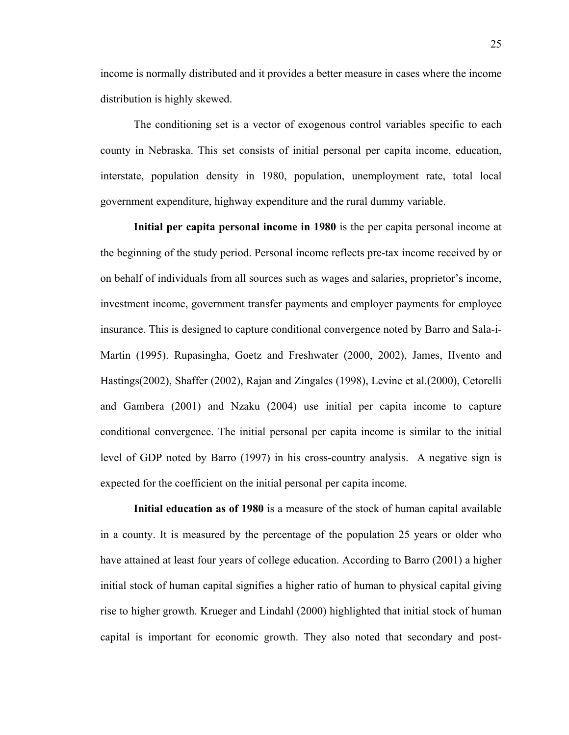income is normally distributed and it provides a better measure in cases where the income distribution is highly skewed.

The conditioning set is a vector of exogenous control variables specific to each county in Nebraska. This set consists of initial personal per capita income, education, interstate, population density in 1980, population, unemployment rate, total local government expenditure, highway expenditure and the rural dummy variable.

**Initial per capita personal income in 1980** is the per capita personal income at the beginning of the study period. Personal income reflects pre-tax income received by or on behalf of individuals from all sources such as wages and salaries, proprietor's income, investment income, government transfer payments and employer payments for employee insurance. This is designed to capture conditional convergence noted by Barro and Sala-i-Martin (1995). Rupasingha, Goetz and Freshwater (2000, 2002), James, IIvento and Hastings(2002), Shaffer (2002), Rajan and Zingales (1998), Levine et al.(2000), Cetorelli and Gambera (2001) and Nzaku (2004) use initial per capita income to capture conditional convergence. The initial personal per capita income is similar to the initial level of GDP noted by Barro (1997) in his cross-country analysis. A negative sign is expected for the coefficient on the initial personal per capita income.

**Initial education as of 1980** is a measure of the stock of human capital available in a county. It is measured by the percentage of the population 25 years or older who have attained at least four years of college education. According to Barro (2001) a higher initial stock of human capital signifies a higher ratio of human to physical capital giving rise to higher growth. Krueger and Lindahl (2000) highlighted that initial stock of human capital is important for economic growth. They also noted that secondary and post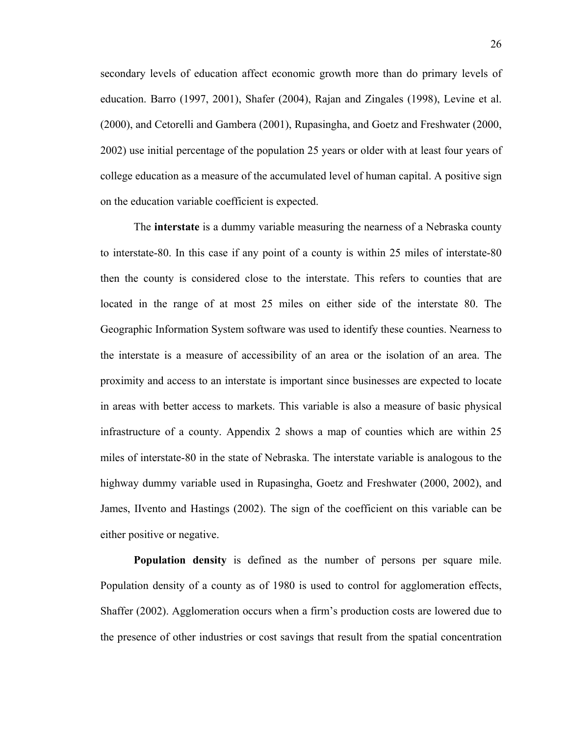secondary levels of education affect economic growth more than do primary levels of education. Barro (1997, 2001), Shafer (2004), Rajan and Zingales (1998), Levine et al. (2000), and Cetorelli and Gambera (2001), Rupasingha, and Goetz and Freshwater (2000, 2002) use initial percentage of the population 25 years or older with at least four years of college education as a measure of the accumulated level of human capital. A positive sign on the education variable coefficient is expected.

The **interstate** is a dummy variable measuring the nearness of a Nebraska county to interstate-80. In this case if any point of a county is within 25 miles of interstate-80 then the county is considered close to the interstate. This refers to counties that are located in the range of at most 25 miles on either side of the interstate 80. The Geographic Information System software was used to identify these counties. Nearness to the interstate is a measure of accessibility of an area or the isolation of an area. The proximity and access to an interstate is important since businesses are expected to locate in areas with better access to markets. This variable is also a measure of basic physical infrastructure of a county. Appendix 2 shows a map of counties which are within 25 miles of interstate-80 in the state of Nebraska. The interstate variable is analogous to the highway dummy variable used in Rupasingha, Goetz and Freshwater (2000, 2002), and James, IIvento and Hastings (2002). The sign of the coefficient on this variable can be either positive or negative.

**Population density** is defined as the number of persons per square mile. Population density of a county as of 1980 is used to control for agglomeration effects, Shaffer (2002). Agglomeration occurs when a firm's production costs are lowered due to the presence of other industries or cost savings that result from the spatial concentration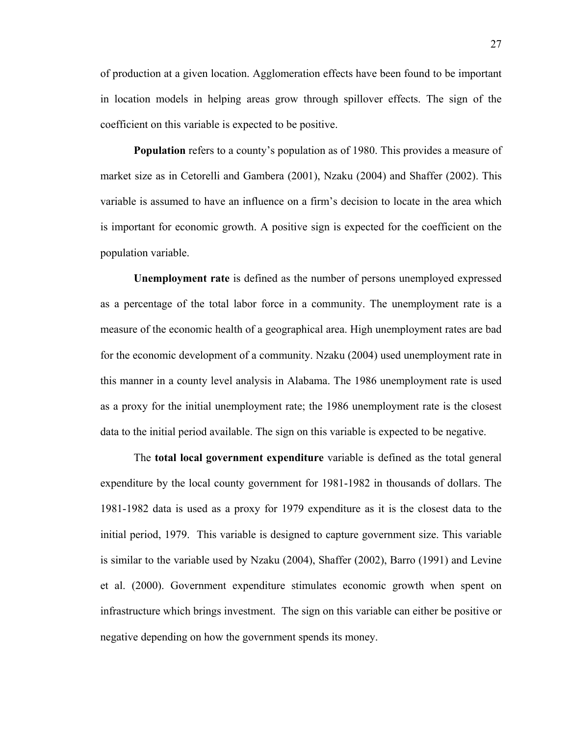of production at a given location. Agglomeration effects have been found to be important in location models in helping areas grow through spillover effects. The sign of the coefficient on this variable is expected to be positive.

**Population** refers to a county's population as of 1980. This provides a measure of market size as in Cetorelli and Gambera (2001), Nzaku (2004) and Shaffer (2002). This variable is assumed to have an influence on a firm's decision to locate in the area which is important for economic growth. A positive sign is expected for the coefficient on the population variable.

**Unemployment rate** is defined as the number of persons unemployed expressed as a percentage of the total labor force in a community. The unemployment rate is a measure of the economic health of a geographical area. High unemployment rates are bad for the economic development of a community. Nzaku (2004) used unemployment rate in this manner in a county level analysis in Alabama. The 1986 unemployment rate is used as a proxy for the initial unemployment rate; the 1986 unemployment rate is the closest data to the initial period available. The sign on this variable is expected to be negative.

The **total local government expenditure** variable is defined as the total general expenditure by the local county government for 1981-1982 in thousands of dollars. The 1981-1982 data is used as a proxy for 1979 expenditure as it is the closest data to the initial period, 1979. This variable is designed to capture government size. This variable is similar to the variable used by Nzaku (2004), Shaffer (2002), Barro (1991) and Levine et al. (2000). Government expenditure stimulates economic growth when spent on infrastructure which brings investment. The sign on this variable can either be positive or negative depending on how the government spends its money.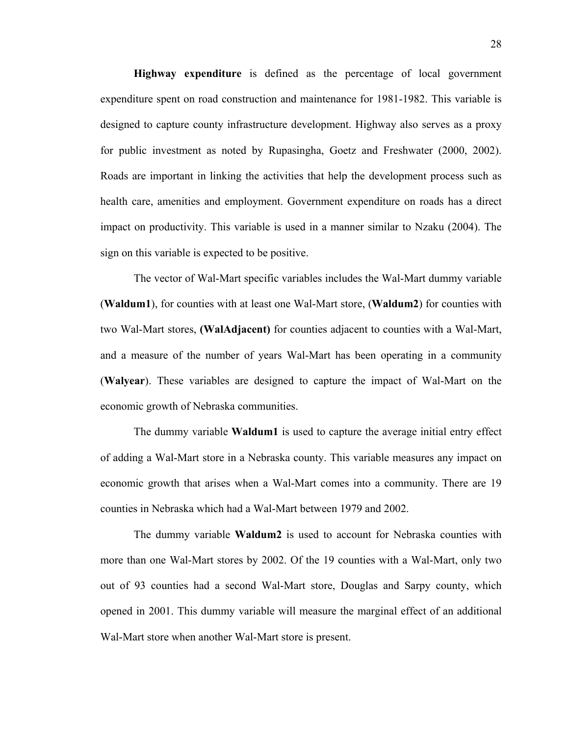**Highway expenditure** is defined as the percentage of local government expenditure spent on road construction and maintenance for 1981-1982. This variable is designed to capture county infrastructure development. Highway also serves as a proxy for public investment as noted by Rupasingha, Goetz and Freshwater (2000, 2002). Roads are important in linking the activities that help the development process such as health care, amenities and employment. Government expenditure on roads has a direct impact on productivity. This variable is used in a manner similar to Nzaku (2004). The sign on this variable is expected to be positive.

The vector of Wal-Mart specific variables includes the Wal-Mart dummy variable (**Waldum1**), for counties with at least one Wal-Mart store, (**Waldum2**) for counties with two Wal-Mart stores, **(WalAdjacent)** for counties adjacent to counties with a Wal-Mart, and a measure of the number of years Wal-Mart has been operating in a community (**Walyear**). These variables are designed to capture the impact of Wal-Mart on the economic growth of Nebraska communities.

The dummy variable **Waldum1** is used to capture the average initial entry effect of adding a Wal-Mart store in a Nebraska county. This variable measures any impact on economic growth that arises when a Wal-Mart comes into a community. There are 19 counties in Nebraska which had a Wal-Mart between 1979 and 2002.

The dummy variable **Waldum2** is used to account for Nebraska counties with more than one Wal-Mart stores by 2002. Of the 19 counties with a Wal-Mart, only two out of 93 counties had a second Wal-Mart store, Douglas and Sarpy county, which opened in 2001. This dummy variable will measure the marginal effect of an additional Wal-Mart store when another Wal-Mart store is present.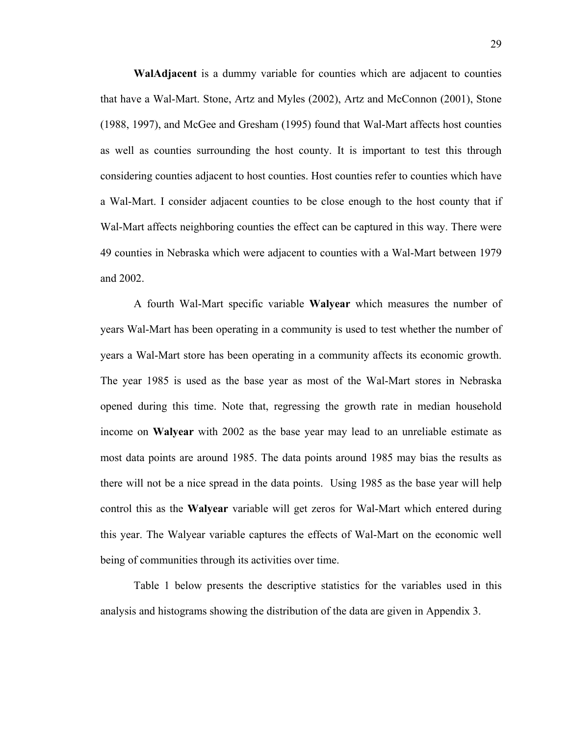**WalAdjacent** is a dummy variable for counties which are adjacent to counties that have a Wal-Mart. Stone, Artz and Myles (2002), Artz and McConnon (2001), Stone (1988, 1997), and McGee and Gresham (1995) found that Wal-Mart affects host counties as well as counties surrounding the host county. It is important to test this through considering counties adjacent to host counties. Host counties refer to counties which have a Wal-Mart. I consider adjacent counties to be close enough to the host county that if Wal-Mart affects neighboring counties the effect can be captured in this way. There were 49 counties in Nebraska which were adjacent to counties with a Wal-Mart between 1979 and 2002.

 A fourth Wal-Mart specific variable **Walyear** which measures the number of years Wal-Mart has been operating in a community is used to test whether the number of years a Wal-Mart store has been operating in a community affects its economic growth. The year 1985 is used as the base year as most of the Wal-Mart stores in Nebraska opened during this time. Note that, regressing the growth rate in median household income on **Walyear** with 2002 as the base year may lead to an unreliable estimate as most data points are around 1985. The data points around 1985 may bias the results as there will not be a nice spread in the data points. Using 1985 as the base year will help control this as the **Walyear** variable will get zeros for Wal-Mart which entered during this year. The Walyear variable captures the effects of Wal-Mart on the economic well being of communities through its activities over time.

Table 1 below presents the descriptive statistics for the variables used in this analysis and histograms showing the distribution of the data are given in Appendix 3.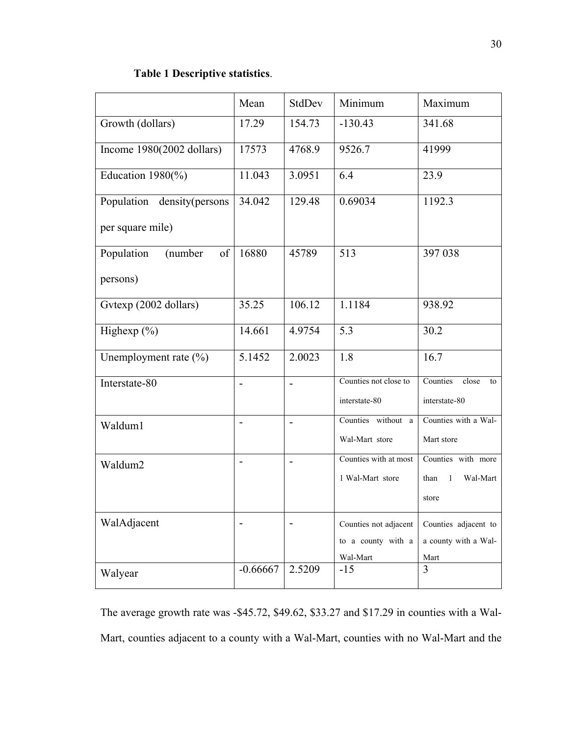## **Table 1 Descriptive statistics**.

|                              | Mean                     | StdDev                   | Minimum                                | Maximum                                  |
|------------------------------|--------------------------|--------------------------|----------------------------------------|------------------------------------------|
| Growth (dollars)             | 17.29                    | 154.73                   | $-130.43$                              | 341.68                                   |
| Income $1980(2002$ dollars)  | 17573                    | 4768.9                   | 9526.7                                 | 41999                                    |
| Education $1980\frac{\%}{2}$ | 11.043                   | 3.0951                   | 6.4                                    | 23.9                                     |
| Population density (persons  | 34.042                   | 129.48                   | 0.69034                                | 1192.3                                   |
| per square mile)             |                          |                          |                                        |                                          |
| Population<br>of<br>(number  | 16880                    | 45789                    | 513                                    | 397 038                                  |
| persons)                     |                          |                          |                                        |                                          |
| Gvtexp (2002 dollars)        | 35.25                    | 106.12                   | 1.1184                                 | 938.92                                   |
| Highexp $(\%)$               | 14.661                   | 4.9754                   | 5.3                                    | 30.2                                     |
| Unemployment rate $(\% )$    | 5.1452                   | 2.0023                   | 1.8                                    | 16.7                                     |
| Interstate-80                | $\overline{\phantom{0}}$ | $\overline{\phantom{0}}$ | Counties not close to<br>interstate-80 | Counties<br>close<br>to<br>interstate-80 |
| Waldum1                      | $\blacksquare$           | $\blacksquare$           | Counties without a                     | Counties with a Wal-                     |
|                              |                          |                          | Wal-Mart store                         | Mart store                               |
| Waldum2                      | $\blacksquare$           | $\overline{\phantom{0}}$ | Counties with at most                  | Counties with more                       |
|                              |                          |                          | 1 Wal-Mart store                       | Wal-Mart<br>than<br>1<br>store           |
| WalAdjacent                  |                          |                          | Counties not adjacent                  | Counties adjacent to                     |
|                              |                          |                          | to a county with a                     | a county with a Wal-                     |
|                              | $-0.66667$               | 2.5209                   | Wal-Mart<br>$-15$                      | Mart<br>$\overline{3}$                   |
| Walyear                      |                          |                          |                                        |                                          |

The average growth rate was -\$45.72, \$49.62, \$33.27 and \$17.29 in counties with a Wal-Mart, counties adjacent to a county with a Wal-Mart, counties with no Wal-Mart and the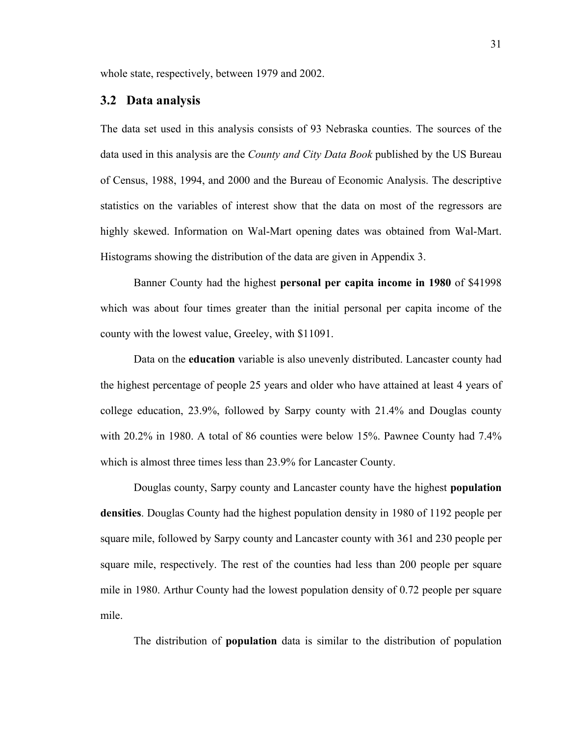whole state, respectively, between 1979 and 2002.

#### **3.2 Data analysis**

The data set used in this analysis consists of 93 Nebraska counties. The sources of the data used in this analysis are the *County and City Data Book* published by the US Bureau of Census, 1988, 1994, and 2000 and the Bureau of Economic Analysis. The descriptive statistics on the variables of interest show that the data on most of the regressors are highly skewed. Information on Wal-Mart opening dates was obtained from Wal-Mart. Histograms showing the distribution of the data are given in Appendix 3.

Banner County had the highest **personal per capita income in 1980** of \$41998 which was about four times greater than the initial personal per capita income of the county with the lowest value, Greeley, with \$11091.

Data on the **education** variable is also unevenly distributed. Lancaster county had the highest percentage of people 25 years and older who have attained at least 4 years of college education, 23.9%, followed by Sarpy county with 21.4% and Douglas county with 20.2% in 1980. A total of 86 counties were below 15%. Pawnee County had 7.4% which is almost three times less than 23.9% for Lancaster County.

Douglas county, Sarpy county and Lancaster county have the highest **population densities**. Douglas County had the highest population density in 1980 of 1192 people per square mile, followed by Sarpy county and Lancaster county with 361 and 230 people per square mile, respectively. The rest of the counties had less than 200 people per square mile in 1980. Arthur County had the lowest population density of 0.72 people per square mile.

The distribution of **population** data is similar to the distribution of population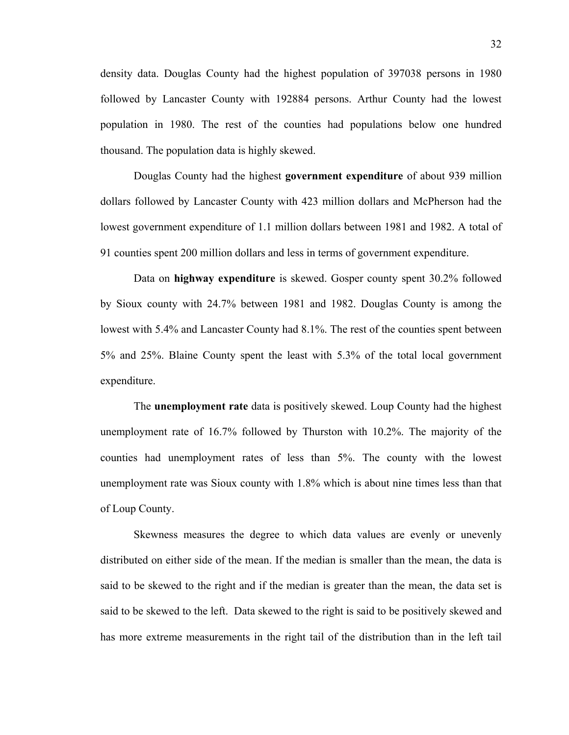density data. Douglas County had the highest population of 397038 persons in 1980 followed by Lancaster County with 192884 persons. Arthur County had the lowest population in 1980. The rest of the counties had populations below one hundred thousand. The population data is highly skewed.

 Douglas County had the highest **government expenditure** of about 939 million dollars followed by Lancaster County with 423 million dollars and McPherson had the lowest government expenditure of 1.1 million dollars between 1981 and 1982. A total of 91 counties spent 200 million dollars and less in terms of government expenditure.

Data on **highway expenditure** is skewed. Gosper county spent 30.2% followed by Sioux county with 24.7% between 1981 and 1982. Douglas County is among the lowest with 5.4% and Lancaster County had 8.1%. The rest of the counties spent between 5% and 25%. Blaine County spent the least with 5.3% of the total local government expenditure.

 The **unemployment rate** data is positively skewed. Loup County had the highest unemployment rate of 16.7% followed by Thurston with 10.2%. The majority of the counties had unemployment rates of less than 5%. The county with the lowest unemployment rate was Sioux county with 1.8% which is about nine times less than that of Loup County.

 Skewness measures the degree to which data values are evenly or unevenly distributed on either side of the mean. If the median is smaller than the mean, the data is said to be skewed to the right and if the median is greater than the mean, the data set is said to be skewed to the left. Data skewed to the right is said to be positively skewed and has more extreme measurements in the right tail of the distribution than in the left tail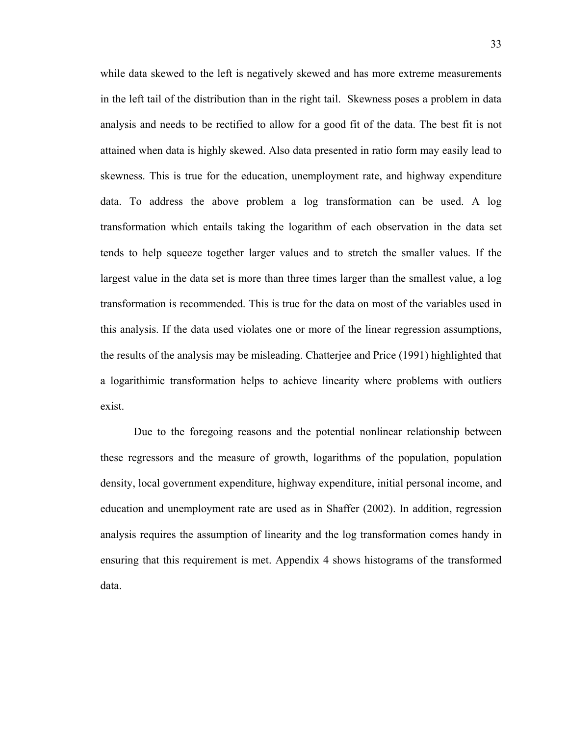while data skewed to the left is negatively skewed and has more extreme measurements in the left tail of the distribution than in the right tail. Skewness poses a problem in data analysis and needs to be rectified to allow for a good fit of the data. The best fit is not attained when data is highly skewed. Also data presented in ratio form may easily lead to skewness. This is true for the education, unemployment rate, and highway expenditure data. To address the above problem a log transformation can be used. A log transformation which entails taking the logarithm of each observation in the data set tends to help squeeze together larger values and to stretch the smaller values. If the largest value in the data set is more than three times larger than the smallest value, a log transformation is recommended. This is true for the data on most of the variables used in this analysis. If the data used violates one or more of the linear regression assumptions, the results of the analysis may be misleading. Chatterjee and Price (1991) highlighted that a logarithimic transformation helps to achieve linearity where problems with outliers exist.

Due to the foregoing reasons and the potential nonlinear relationship between these regressors and the measure of growth, logarithms of the population, population density, local government expenditure, highway expenditure, initial personal income, and education and unemployment rate are used as in Shaffer (2002). In addition, regression analysis requires the assumption of linearity and the log transformation comes handy in ensuring that this requirement is met. Appendix 4 shows histograms of the transformed data.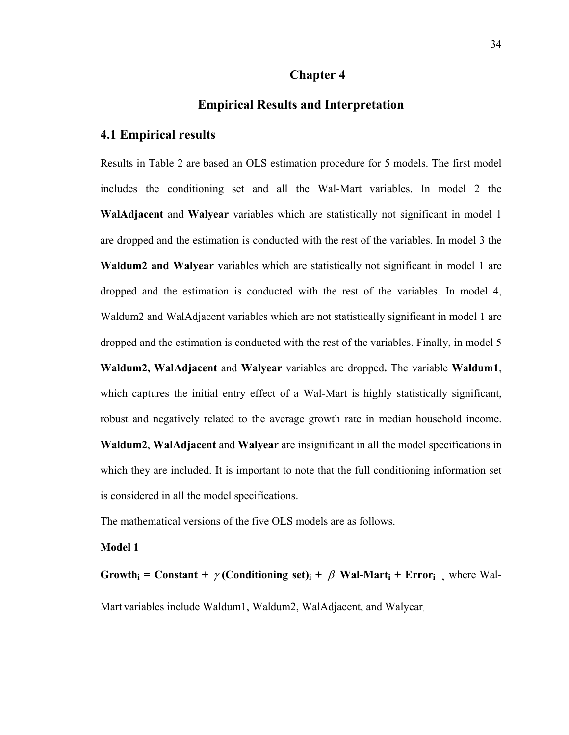#### **Chapter 4**

# **Empirical Results and Interpretation**

# **4.1 Empirical results**

Results in Table 2 are based an OLS estimation procedure for 5 models. The first model includes the conditioning set and all the Wal-Mart variables. In model 2 the **WalAdjacent** and **Walyear** variables which are statistically not significant in model 1 are dropped and the estimation is conducted with the rest of the variables. In model 3 the **Waldum2 and Walyear** variables which are statistically not significant in model 1 are dropped and the estimation is conducted with the rest of the variables. In model 4, Waldum2 and WalAdjacent variables which are not statistically significant in model 1 are dropped and the estimation is conducted with the rest of the variables. Finally, in model 5 **Waldum2, WalAdjacent** and **Walyear** variables are dropped**.** The variable **Waldum1**, which captures the initial entry effect of a Wal-Mart is highly statistically significant, robust and negatively related to the average growth rate in median household income. **Waldum2**, **WalAdjacent** and **Walyear** are insignificant in all the model specifications in which they are included. It is important to note that the full conditioning information set is considered in all the model specifications.

The mathematical versions of the five OLS models are as follows.

# **Model 1**

**Growth**<sub>i</sub> = Constant +  $\gamma$  (Conditioning set)<sub>i</sub> +  $\beta$  Wal-Mart<sub>i</sub> + Error<sub>i</sub>, where Wal-Mart variables include Waldum1, Waldum2, WalAdjacent, and Walyear.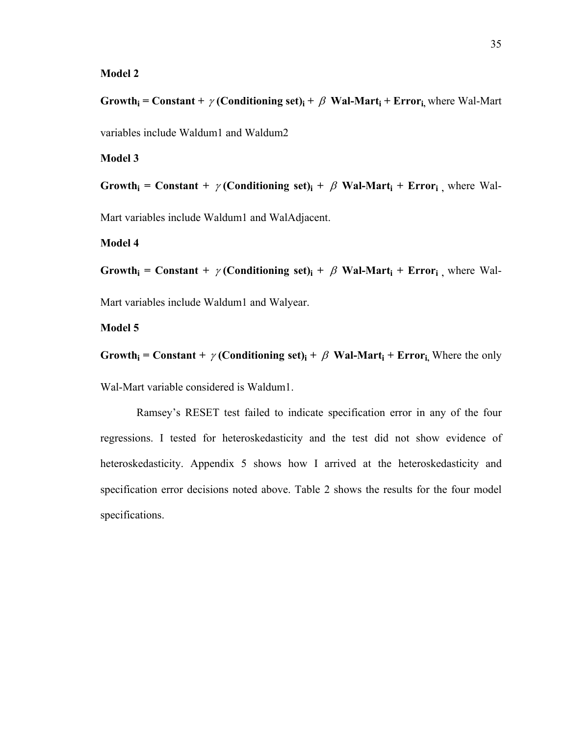#### **Model 2**

**Growth**<sub>i</sub> = Constant +  $\gamma$  (Conditioning set)<sub>i</sub> +  $\beta$  Wal-Mart<sub>i</sub> + Error<sub>i</sub>, where Wal-Mart variables include Waldum1 and Waldum2

**Model 3** 

**Growth**<sub>i</sub> = Constant +  $\gamma$  (Conditioning set)<sub>i</sub> +  $\beta$  Wal-Mart<sub>i</sub> + Error<sub>i</sub>, where Wal-

Mart variables include Waldum1 and WalAdjacent.

#### **Model 4**

**Growth** = **Constant** +  $\gamma$  **(Conditioning set)** +  $\beta$  **Wal-Mart** + **Error** , where Wal-

Mart variables include Waldum1 and Walyear.

# **Model 5**

**Growth**<sub>i</sub> = Constant +  $\gamma$  (Conditioning set)<sub>i</sub> +  $\beta$  Wal-Mart<sub>i</sub> + Error<sub>i</sub>, Where the only

Wal-Mart variable considered is Waldum1.

 Ramsey's RESET test failed to indicate specification error in any of the four regressions. I tested for heteroskedasticity and the test did not show evidence of heteroskedasticity. Appendix 5 shows how I arrived at the heteroskedasticity and specification error decisions noted above. Table 2 shows the results for the four model specifications.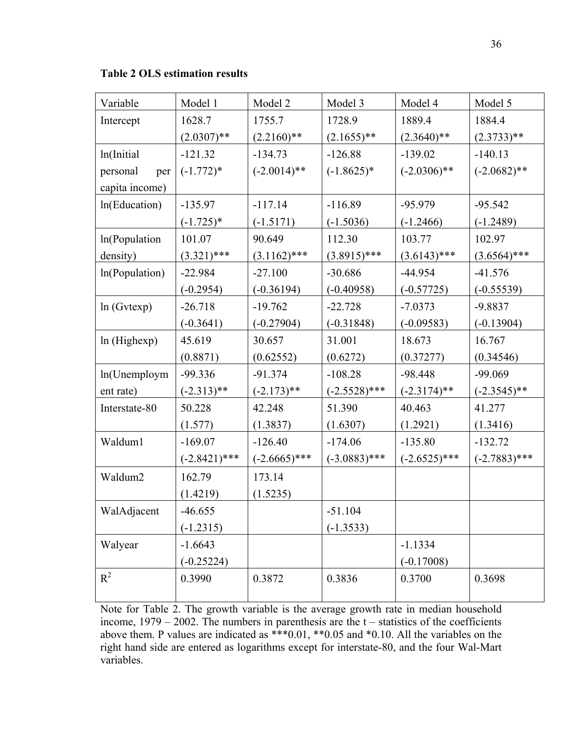**Table 2 OLS estimation results** 

| Variable        | Model 1         | Model 2         | Model 3         | Model 4         | Model 5         |
|-----------------|-----------------|-----------------|-----------------|-----------------|-----------------|
| Intercept       | 1628.7          | 1755.7          | 1728.9          | 1889.4          | 1884.4          |
|                 | $(2.0307)$ **   | $(2.2160)$ **   | $(2.1655)$ **   | $(2.3640)$ **   | $(2.3733)**$    |
| ln(Initial      | $-121.32$       | $-134.73$       | $-126.88$       | $-139.02$       | $-140.13$       |
| personal<br>per | $(-1.772)*$     | $(-2.0014)$ **  | $(-1.8625)*$    | $(-2.0306)$ **  | $(-2.0682)$ **  |
| capita income)  |                 |                 |                 |                 |                 |
| In(Education)   | $-135.97$       | $-117.14$       | $-116.89$       | $-95.979$       | $-95.542$       |
|                 | $(-1.725)*$     | $(-1.5171)$     | $(-1.5036)$     | $(-1.2466)$     | $(-1.2489)$     |
| ln(Population   | 101.07          | 90.649          | 112.30          | 103.77          | 102.97          |
| density)        | $(3.321)$ ***   | $(3.1162)$ ***  | $(3.8915)$ ***  | $(3.6143)$ ***  | $(3.6564)$ ***  |
| In(Population)  | $-22.984$       | $-27.100$       | $-30.686$       | $-44.954$       | $-41.576$       |
|                 | $(-0.2954)$     | $(-0.36194)$    | $(-0.40958)$    | $(-0.57725)$    | $(-0.55539)$    |
| ln(Gvtexp)      | $-26.718$       | $-19.762$       | $-22.728$       | $-7.0373$       | $-9.8837$       |
|                 | $(-0.3641)$     | $(-0.27904)$    | $(-0.31848)$    | $(-0.09583)$    | $(-0.13904)$    |
| ln(Highexp)     | 45.619          | 30.657          | 31.001          | 18.673          | 16.767          |
|                 | (0.8871)        | (0.62552)       | (0.6272)        | (0.37277)       | (0.34546)       |
| ln(Unemploym    | $-99.336$       | $-91.374$       | $-108.28$       | $-98.448$       | $-99.069$       |
| ent rate)       | $(-2.313)$ **   | $(-2.173)$ **   | $(-2.5528)$ *** | $(-2.3174)$ **  | $(-2.3545)$ **  |
| Interstate-80   | 50.228          | 42.248          | 51.390          | 40.463          | 41.277          |
|                 | (1.577)         | (1.3837)        | (1.6307)        | (1.2921)        | (1.3416)        |
| Waldum1         | $-169.07$       | $-126.40$       | $-174.06$       | $-135.80$       | $-132.72$       |
|                 | $(-2.8421)$ *** | $(-2.6665)$ *** | $(-3.0883)$ *** | $(-2.6525)$ *** | $(-2.7883)$ *** |
| Waldum2         | 162.79          | 173.14          |                 |                 |                 |
|                 | (1.4219)        | (1.5235)        |                 |                 |                 |
| WalAdjacent     | $-46.655$       |                 | $-51.104$       |                 |                 |
|                 | $(-1.2315)$     |                 | $(-1.3533)$     |                 |                 |
| Walyear         | $-1.6643$       |                 |                 | $-1.1334$       |                 |
|                 | $(-0.25224)$    |                 |                 | $(-0.17008)$    |                 |
| $R^2$           | 0.3990          | 0.3872          | 0.3836          | 0.3700          | 0.3698          |
|                 |                 |                 |                 |                 |                 |

Note for Table 2. The growth variable is the average growth rate in median household income,  $1979 - 2002$ . The numbers in parenthesis are the  $t -$  statistics of the coefficients above them. P values are indicated as \*\*\*0.01, \*\*0.05 and \*0.10. All the variables on the right hand side are entered as logarithms except for interstate-80, and the four Wal-Mart variables.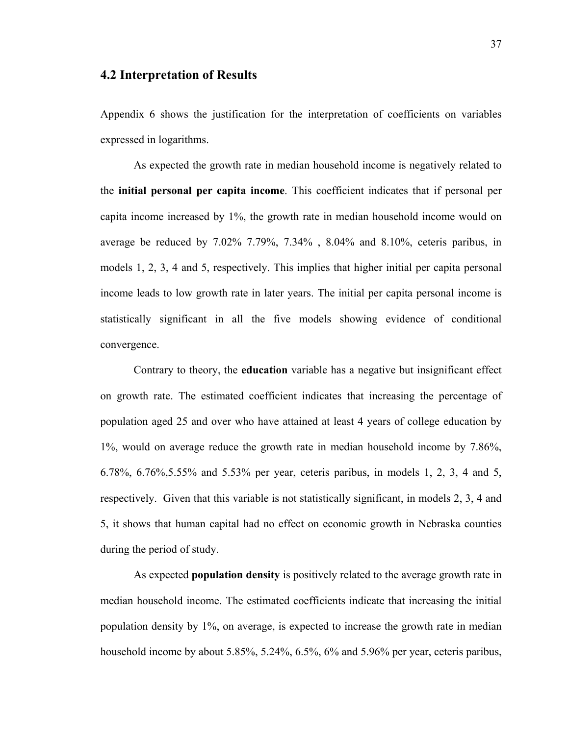## **4.2 Interpretation of Results**

Appendix 6 shows the justification for the interpretation of coefficients on variables expressed in logarithms.

 As expected the growth rate in median household income is negatively related to the **initial personal per capita income**. This coefficient indicates that if personal per capita income increased by 1%, the growth rate in median household income would on average be reduced by 7.02% 7.79%, 7.34% , 8.04% and 8.10%, ceteris paribus, in models 1, 2, 3, 4 and 5, respectively. This implies that higher initial per capita personal income leads to low growth rate in later years. The initial per capita personal income is statistically significant in all the five models showing evidence of conditional convergence.

Contrary to theory, the **education** variable has a negative but insignificant effect on growth rate. The estimated coefficient indicates that increasing the percentage of population aged 25 and over who have attained at least 4 years of college education by 1%, would on average reduce the growth rate in median household income by 7.86%, 6.78%, 6.76%,5.55% and 5.53% per year, ceteris paribus, in models 1, 2, 3, 4 and 5, respectively. Given that this variable is not statistically significant, in models 2, 3, 4 and 5, it shows that human capital had no effect on economic growth in Nebraska counties during the period of study.

As expected **population density** is positively related to the average growth rate in median household income. The estimated coefficients indicate that increasing the initial population density by 1%, on average, is expected to increase the growth rate in median household income by about 5.85%, 5.24%, 6.5%, 6% and 5.96% per year, ceteris paribus,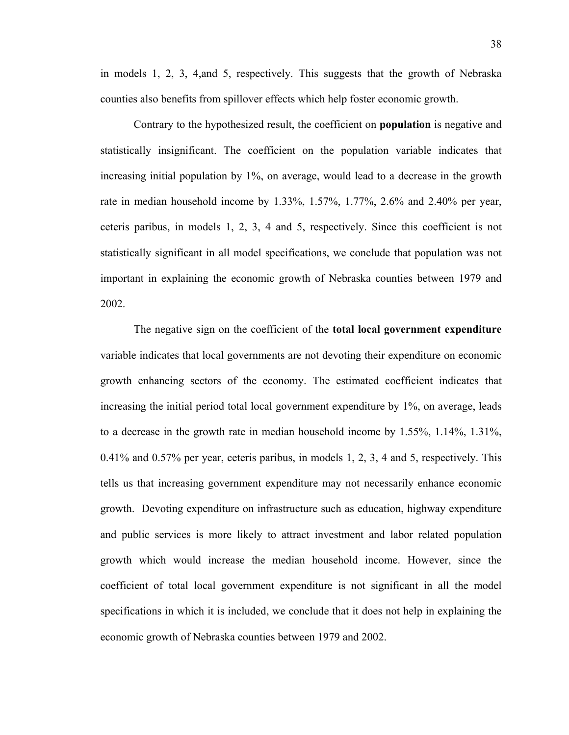in models 1, 2, 3, 4,and 5, respectively. This suggests that the growth of Nebraska counties also benefits from spillover effects which help foster economic growth.

Contrary to the hypothesized result, the coefficient on **population** is negative and statistically insignificant. The coefficient on the population variable indicates that increasing initial population by 1%, on average, would lead to a decrease in the growth rate in median household income by 1.33%, 1.57%, 1.77%, 2.6% and 2.40% per year, ceteris paribus, in models 1, 2, 3, 4 and 5, respectively. Since this coefficient is not statistically significant in all model specifications, we conclude that population was not important in explaining the economic growth of Nebraska counties between 1979 and 2002.

 The negative sign on the coefficient of the **total local government expenditure** variable indicates that local governments are not devoting their expenditure on economic growth enhancing sectors of the economy. The estimated coefficient indicates that increasing the initial period total local government expenditure by 1%, on average, leads to a decrease in the growth rate in median household income by 1.55%, 1.14%, 1.31%, 0.41% and 0.57% per year, ceteris paribus, in models 1, 2, 3, 4 and 5, respectively. This tells us that increasing government expenditure may not necessarily enhance economic growth. Devoting expenditure on infrastructure such as education, highway expenditure and public services is more likely to attract investment and labor related population growth which would increase the median household income. However, since the coefficient of total local government expenditure is not significant in all the model specifications in which it is included, we conclude that it does not help in explaining the economic growth of Nebraska counties between 1979 and 2002.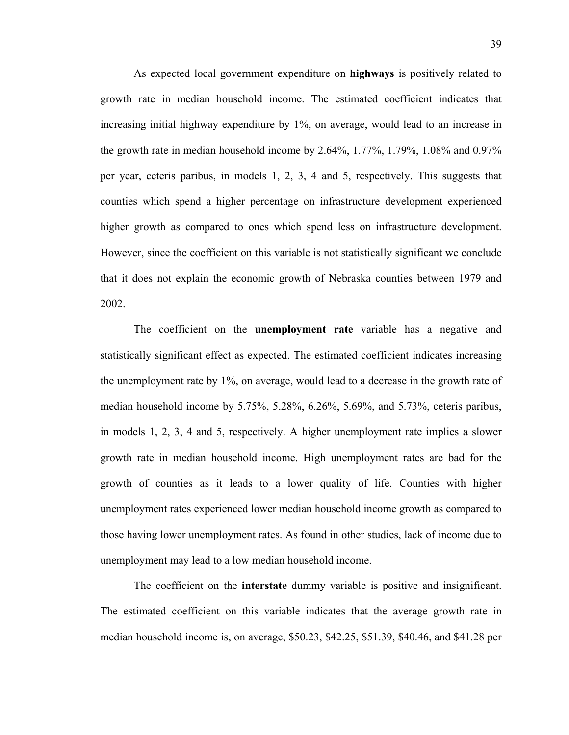As expected local government expenditure on **highways** is positively related to growth rate in median household income. The estimated coefficient indicates that increasing initial highway expenditure by 1%, on average, would lead to an increase in the growth rate in median household income by 2.64%, 1.77%, 1.79%, 1.08% and 0.97% per year, ceteris paribus, in models 1, 2, 3, 4 and 5, respectively. This suggests that counties which spend a higher percentage on infrastructure development experienced higher growth as compared to ones which spend less on infrastructure development. However, since the coefficient on this variable is not statistically significant we conclude that it does not explain the economic growth of Nebraska counties between 1979 and 2002.

 The coefficient on the **unemployment rate** variable has a negative and statistically significant effect as expected. The estimated coefficient indicates increasing the unemployment rate by 1%, on average, would lead to a decrease in the growth rate of median household income by 5.75%, 5.28%, 6.26%, 5.69%, and 5.73%, ceteris paribus, in models 1, 2, 3, 4 and 5, respectively. A higher unemployment rate implies a slower growth rate in median household income. High unemployment rates are bad for the growth of counties as it leads to a lower quality of life. Counties with higher unemployment rates experienced lower median household income growth as compared to those having lower unemployment rates. As found in other studies, lack of income due to unemployment may lead to a low median household income.

The coefficient on the **interstate** dummy variable is positive and insignificant. The estimated coefficient on this variable indicates that the average growth rate in median household income is, on average, \$50.23, \$42.25, \$51.39, \$40.46, and \$41.28 per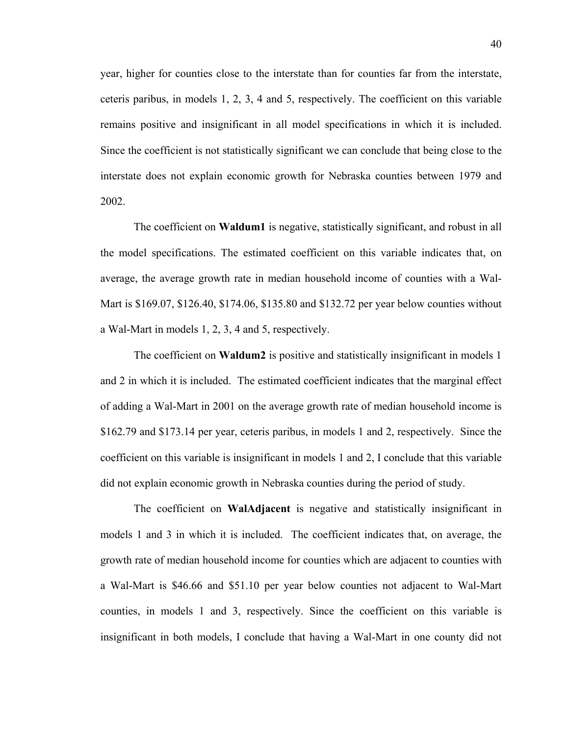year, higher for counties close to the interstate than for counties far from the interstate, ceteris paribus, in models 1, 2, 3, 4 and 5, respectively. The coefficient on this variable remains positive and insignificant in all model specifications in which it is included. Since the coefficient is not statistically significant we can conclude that being close to the interstate does not explain economic growth for Nebraska counties between 1979 and 2002.

The coefficient on **Waldum1** is negative, statistically significant, and robust in all the model specifications. The estimated coefficient on this variable indicates that, on average, the average growth rate in median household income of counties with a Wal-Mart is \$169.07, \$126.40, \$174.06, \$135.80 and \$132.72 per year below counties without a Wal-Mart in models 1, 2, 3, 4 and 5, respectively.

The coefficient on **Waldum2** is positive and statistically insignificant in models 1 and 2 in which it is included. The estimated coefficient indicates that the marginal effect of adding a Wal-Mart in 2001 on the average growth rate of median household income is \$162.79 and \$173.14 per year, ceteris paribus, in models 1 and 2, respectively. Since the coefficient on this variable is insignificant in models 1 and 2, I conclude that this variable did not explain economic growth in Nebraska counties during the period of study.

The coefficient on **WalAdjacent** is negative and statistically insignificant in models 1 and 3 in which it is included. The coefficient indicates that, on average, the growth rate of median household income for counties which are adjacent to counties with a Wal-Mart is \$46.66 and \$51.10 per year below counties not adjacent to Wal-Mart counties, in models 1 and 3, respectively. Since the coefficient on this variable is insignificant in both models, I conclude that having a Wal-Mart in one county did not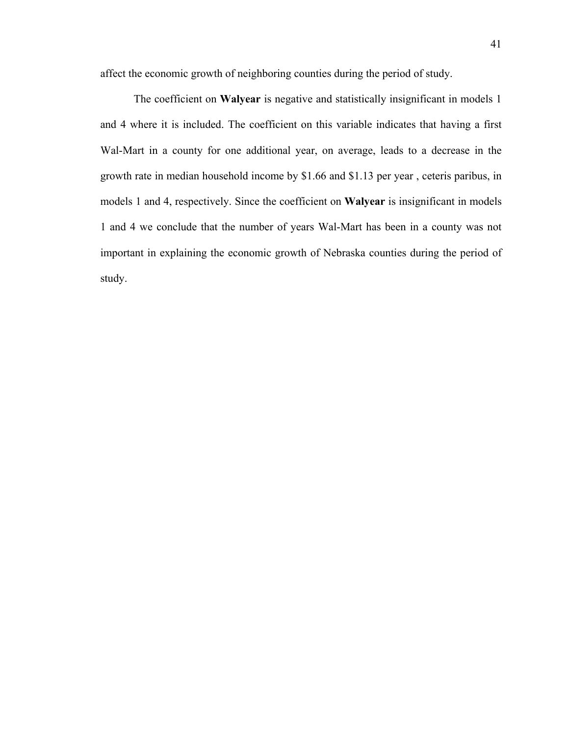affect the economic growth of neighboring counties during the period of study.

The coefficient on **Walyear** is negative and statistically insignificant in models 1 and 4 where it is included. The coefficient on this variable indicates that having a first Wal-Mart in a county for one additional year, on average, leads to a decrease in the growth rate in median household income by \$1.66 and \$1.13 per year , ceteris paribus, in models 1 and 4, respectively. Since the coefficient on **Walyear** is insignificant in models 1 and 4 we conclude that the number of years Wal-Mart has been in a county was not important in explaining the economic growth of Nebraska counties during the period of study.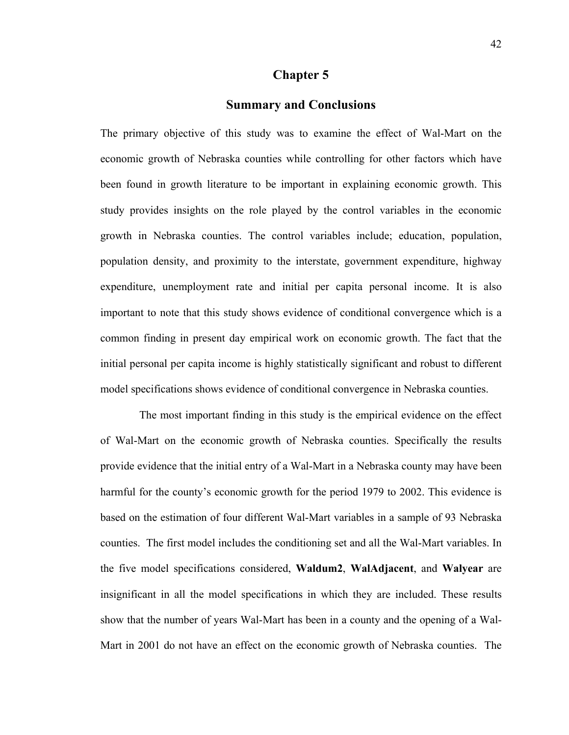## **Chapter 5**

# **Summary and Conclusions**

The primary objective of this study was to examine the effect of Wal-Mart on the economic growth of Nebraska counties while controlling for other factors which have been found in growth literature to be important in explaining economic growth. This study provides insights on the role played by the control variables in the economic growth in Nebraska counties. The control variables include; education, population, population density, and proximity to the interstate, government expenditure, highway expenditure, unemployment rate and initial per capita personal income. It is also important to note that this study shows evidence of conditional convergence which is a common finding in present day empirical work on economic growth. The fact that the initial personal per capita income is highly statistically significant and robust to different model specifications shows evidence of conditional convergence in Nebraska counties.

 The most important finding in this study is the empirical evidence on the effect of Wal-Mart on the economic growth of Nebraska counties. Specifically the results provide evidence that the initial entry of a Wal-Mart in a Nebraska county may have been harmful for the county's economic growth for the period 1979 to 2002. This evidence is based on the estimation of four different Wal-Mart variables in a sample of 93 Nebraska counties. The first model includes the conditioning set and all the Wal-Mart variables. In the five model specifications considered, **Waldum2**, **WalAdjacent**, and **Walyear** are insignificant in all the model specifications in which they are included. These results show that the number of years Wal-Mart has been in a county and the opening of a Wal-Mart in 2001 do not have an effect on the economic growth of Nebraska counties. The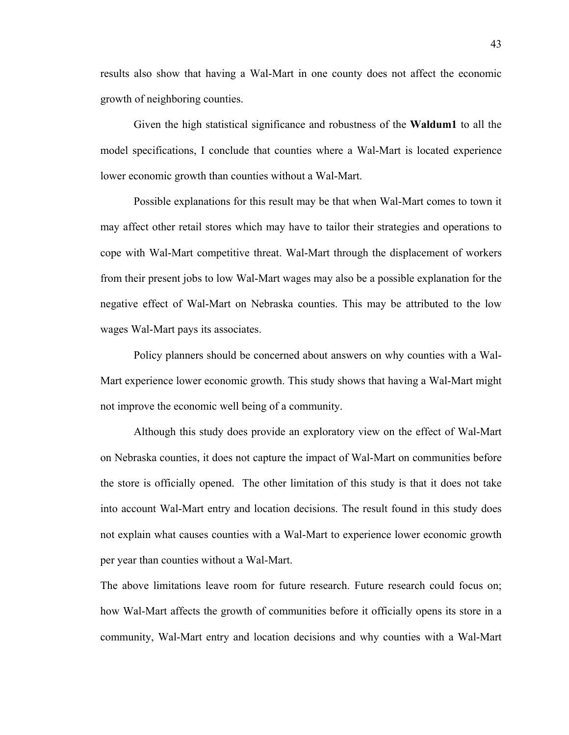results also show that having a Wal-Mart in one county does not affect the economic growth of neighboring counties.

Given the high statistical significance and robustness of the **Waldum1** to all the model specifications, I conclude that counties where a Wal-Mart is located experience lower economic growth than counties without a Wal-Mart.

Possible explanations for this result may be that when Wal-Mart comes to town it may affect other retail stores which may have to tailor their strategies and operations to cope with Wal-Mart competitive threat. Wal-Mart through the displacement of workers from their present jobs to low Wal-Mart wages may also be a possible explanation for the negative effect of Wal-Mart on Nebraska counties. This may be attributed to the low wages Wal-Mart pays its associates.

Policy planners should be concerned about answers on why counties with a Wal-Mart experience lower economic growth. This study shows that having a Wal-Mart might not improve the economic well being of a community.

 Although this study does provide an exploratory view on the effect of Wal-Mart on Nebraska counties, it does not capture the impact of Wal-Mart on communities before the store is officially opened. The other limitation of this study is that it does not take into account Wal-Mart entry and location decisions. The result found in this study does not explain what causes counties with a Wal-Mart to experience lower economic growth per year than counties without a Wal-Mart.

The above limitations leave room for future research. Future research could focus on; how Wal-Mart affects the growth of communities before it officially opens its store in a community, Wal-Mart entry and location decisions and why counties with a Wal-Mart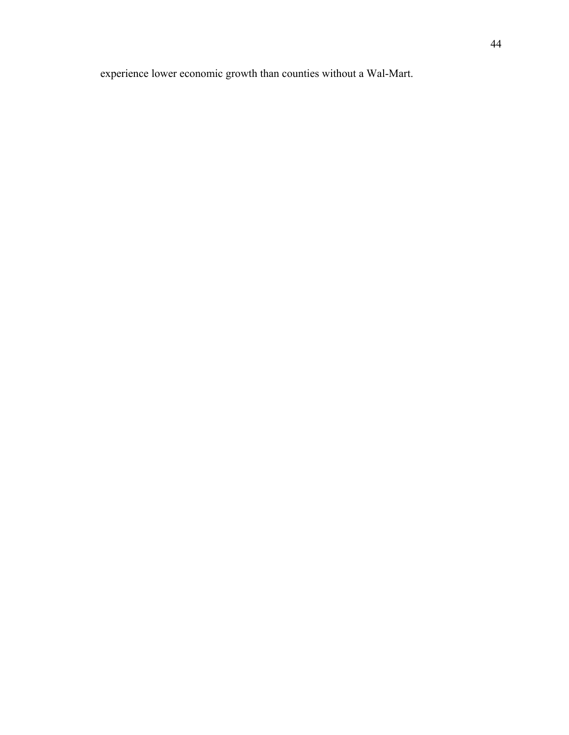experience lower economic growth than counties without a Wal-Mart.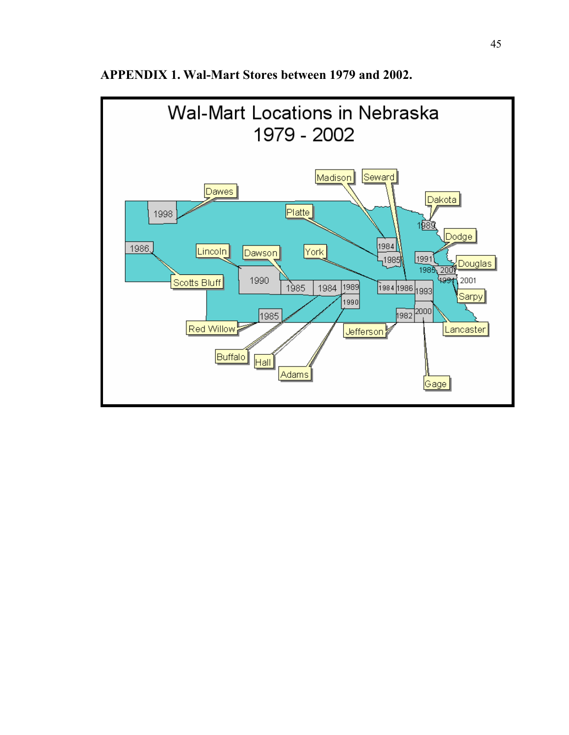

**APPENDIX 1. Wal-Mart Stores between 1979 and 2002.**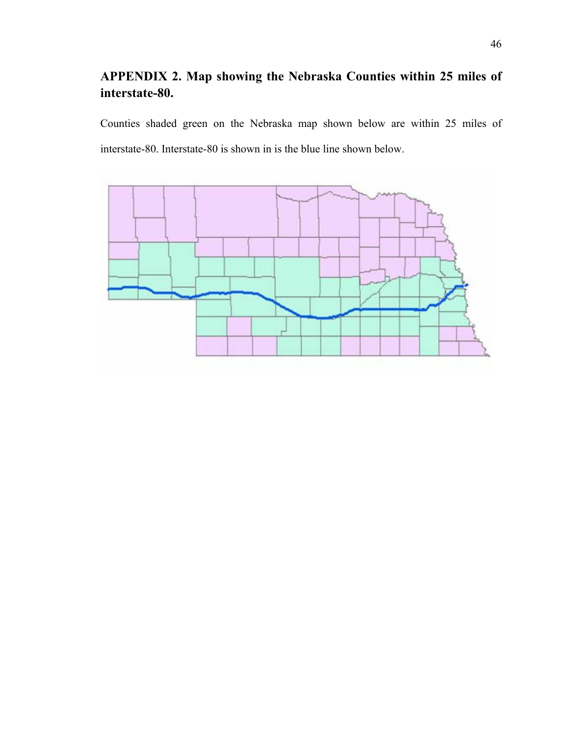# **APPENDIX 2. Map showing the Nebraska Counties within 25 miles of interstate-80.**

Counties shaded green on the Nebraska map shown below are within 25 miles of interstate-80. Interstate-80 is shown in is the blue line shown below.

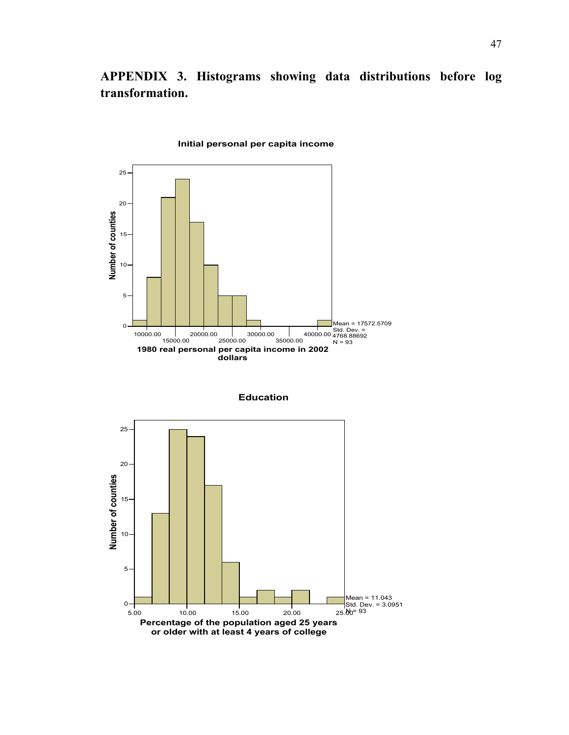**APPENDIX 3. Histograms showing data distributions before log transformation.** 



**Initial personal per capita income**

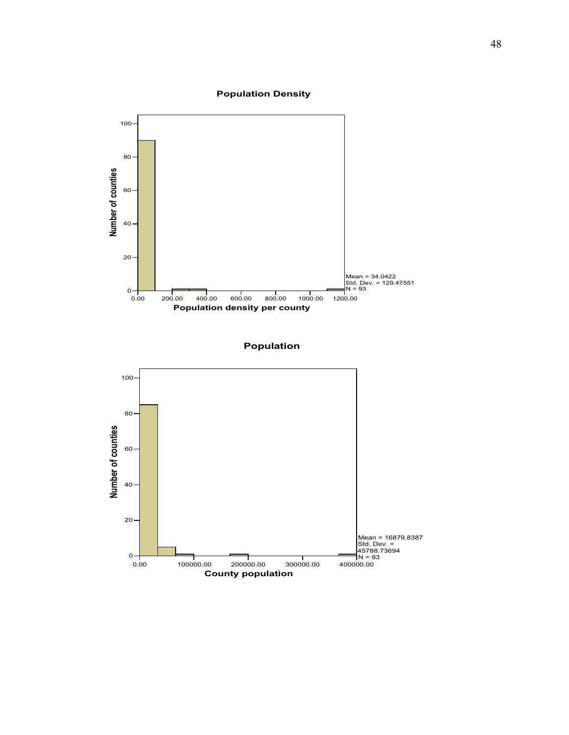#### **Population Density**



**Population**

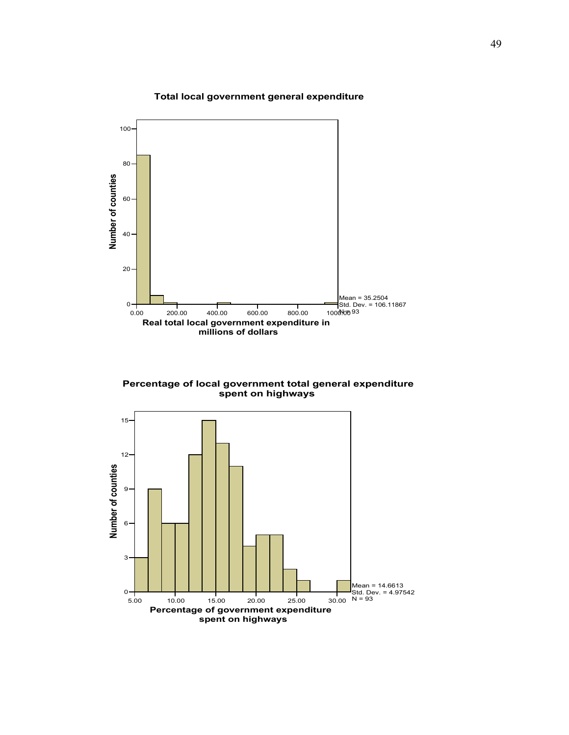#### **Total local government general expenditure**



**Percentage of local government total general expenditure spent on highways**

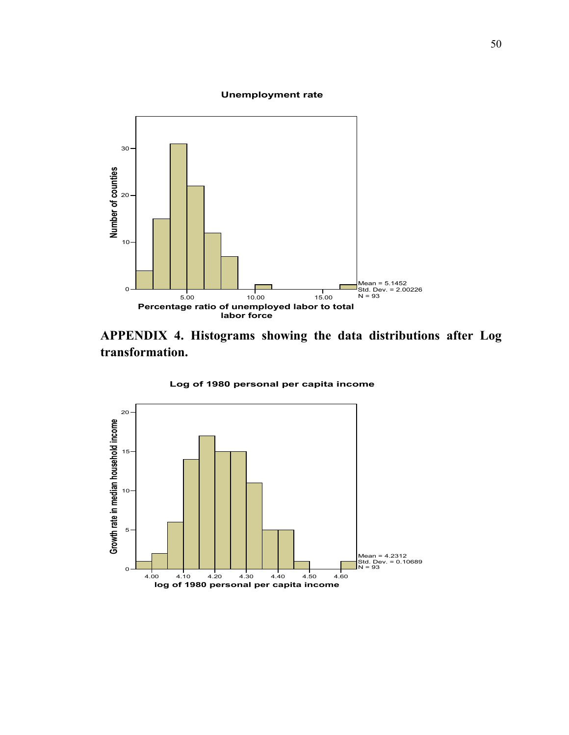#### **Unemployment rate**



**APPENDIX 4. Histograms showing the data distributions after Log transformation.** 

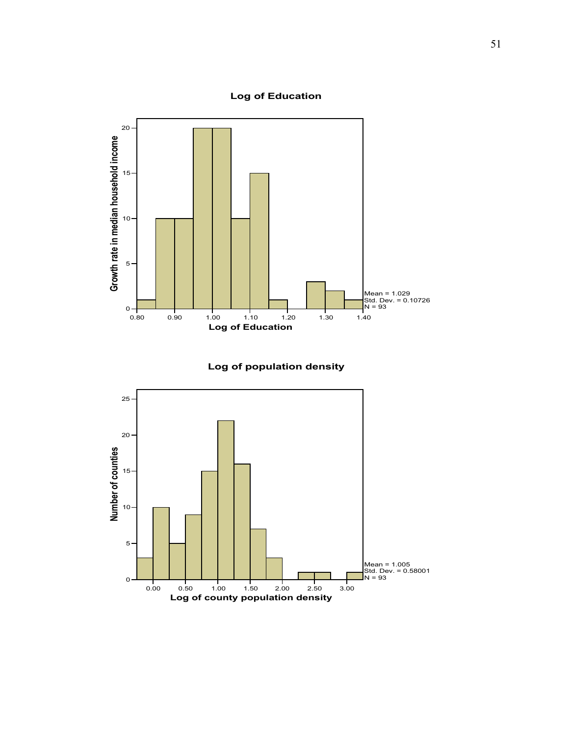# **Log of Education**





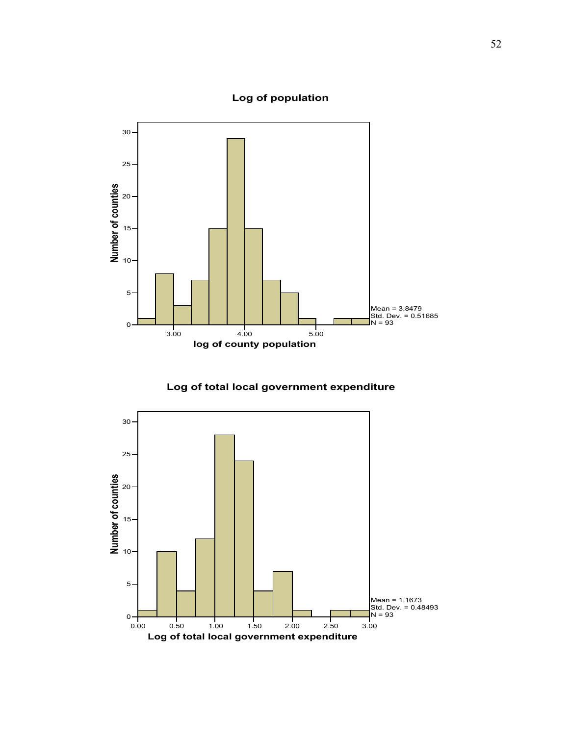**Log of population**



**Log of total local government expenditure**

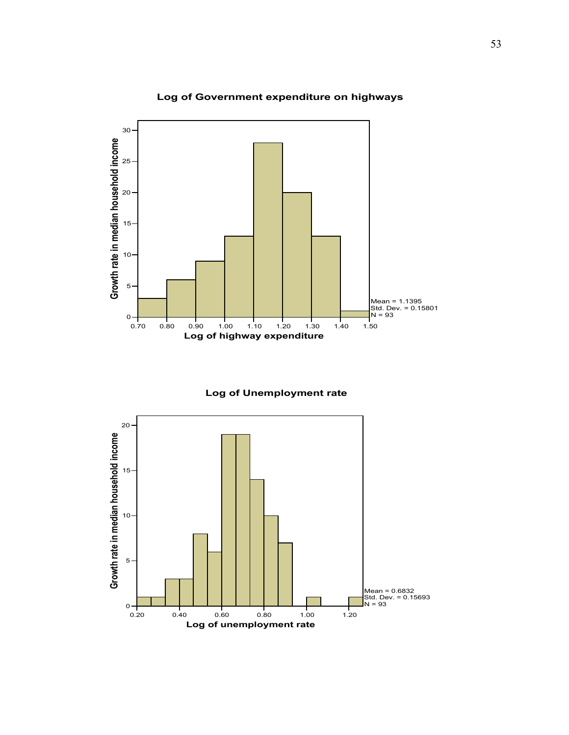

# **Log of Government expenditure on highways**

**Log of Unemployment rate**

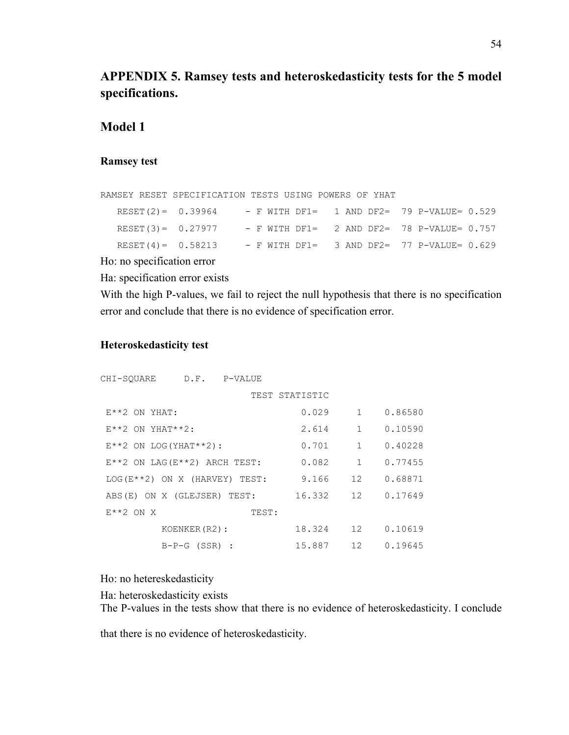# **APPENDIX 5. Ramsey tests and heteroskedasticity tests for the 5 model specifications.**

# **Model 1**

#### **Ramsey test**

```
RAMSEY RESET SPECIFICATION TESTS USING POWERS OF YHAT 
  RESET(2) = 0.39964 - F WITH DF1 = 1 AND DF2 = 79 P-VALUE= 0.529RESET(3) = 0.27977 - F WITH DF1 = 2 AND DF2 = 78 P-VALUE= 0.757
  RESET(4)= 0.58213 - F WITH DF1= 3 AND DF2= 77 P-VALUE= 0.629
```
Ho: no specification error

Ha: specification error exists

With the high P-values, we fail to reject the null hypothesis that there is no specification error and conclude that there is no evidence of specification error.

#### **Heteroskedasticity test**

| CHI-SOUARE                                   | D.F.            | P-VALUE |                |              |         |
|----------------------------------------------|-----------------|---------|----------------|--------------|---------|
|                                              |                 |         | TEST STATISTIC |              |         |
| $E^{\star}$ $2$ ON YHAT:                     |                 |         | 0.029          | $\mathbf{1}$ | 0.86580 |
| $E^{\star \star}2$ ON YHAT $\star \star 2$ : |                 |         | 2.614          | $\mathbf{1}$ | 0.10590 |
| $E**2$ ON LOG (YHAT**2):                     |                 |         | 0.701          | $\mathbf{1}$ | 0.40228 |
| $E^{***}$ ON LAG( $E^{***}$ 2) ARCH TEST:    |                 |         | 0.082          | 1            | 0.77455 |
| $LOG(E***2)$ ON X (HARVEY) TEST:             |                 |         | 9.166          | 12           | 0.68871 |
| ABS(E) ON X (GLEJSER) TEST:                  |                 |         | 16.332         | 12           | 0.17649 |
| $E^{\star}$ $2$ ON X                         |                 | TEST:   |                |              |         |
|                                              | KOENKER (R2):   |         | 18.324         | 12           | 0.10619 |
|                                              | $B-P-G (SSR)$ : |         | 15.887         | 12           | 0.19645 |

Ho: no hetereskedasticity

Ha: heteroskedasticity exists

The P-values in the tests show that there is no evidence of heteroskedasticity. I conclude

that there is no evidence of heteroskedasticity.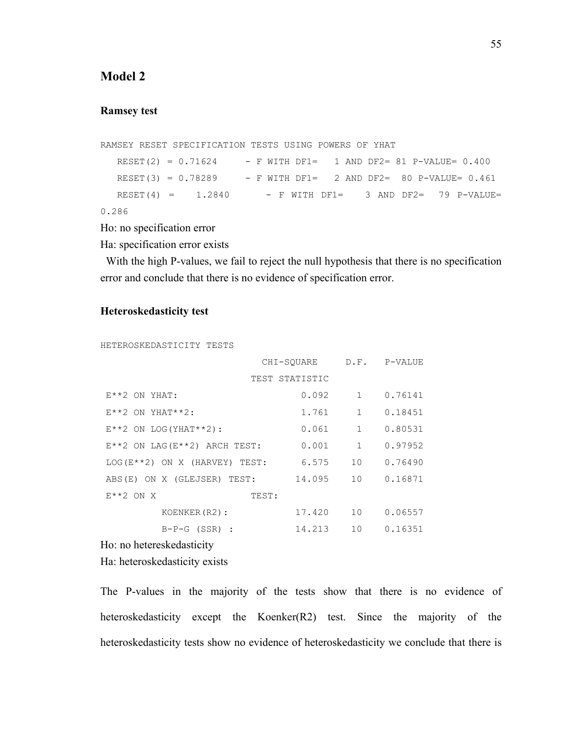# **Model 2**

#### **Ramsey test**

```
RAMSEY RESET SPECIFICATION TESTS USING POWERS OF YHAT 
  REST(2) = 0.71624 - F WITH DFI = 1 AND DF2 = 81 P-VALUE = 0.400 RESET(3) = 0.78289 - F WITH DF1= 2 AND DF2= 80 P-VALUE= 0.461 
  RESET(4) = 1.2840 - F WITH DF1= 3 AND DF2= 79 P-VALUE=
0.286
```
Ho: no specification error

Ha: specification error exists

With the high P-values, we fail to reject the null hypothesis that there is no specification error and conclude that there is no evidence of specification error.

#### **Heteroskedasticity test**

```
HETEROSKEDASTICITY TESTS
```

|                                           | CHI-SOUARE     |              | D.F. P-VALUE |
|-------------------------------------------|----------------|--------------|--------------|
|                                           | TEST STATISTIC |              |              |
| $E^*$ 2 ON YHAT:                          | 0.092          | $\mathbf{1}$ | 0.76141      |
| $E^{\star \star}2$ ON YHAT**2:            | 1.761          | $\mathbf{1}$ | 0.18451      |
| $E***2$ ON LOG (YHAT ** 2) :              | 0.061          | $\mathbf{1}$ | 0.80531      |
| $E^{***}$ ON LAG( $E^{***}$ 2) ARCH TEST: | 0.001          | 1            | 0.97952      |
| $LOG(E**2)$ ON X (HARVEY) TEST:           | 6.575          | 10           | 0.76490      |
| ABS(E) ON X (GLEJSER) TEST:               | 14.095         | 10           | 0.16871      |
| $E^{\star}$ $2$ ON X<br>TEST:             |                |              |              |
| KOENKER (R2):                             | 17.420         | 10           | 0.06557      |
| $B-P-G (SSR)$ :                           | 14.213         | 10           | 0.16351      |

Ho: no hetereskedasticity

Ha: heteroskedasticity exists

The P-values in the majority of the tests show that there is no evidence of heteroskedasticity except the Koenker(R2) test. Since the majority of the heteroskedasticity tests show no evidence of heteroskedasticity we conclude that there is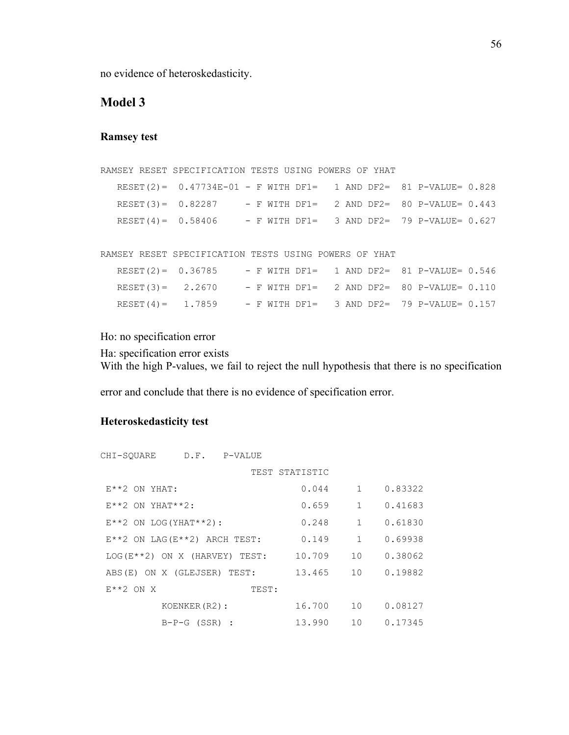no evidence of heteroskedasticity.

# **Model 3**

#### **Ramsey test**

```
RAMSEY RESET SPECIFICATION TESTS USING POWERS OF YHAT 
   RESET(2)= 0.47734E-01 - F WITH DF1= 1 AND DF2= 81 P-VALUE= 0.828 
   RESET(3)= 0.82287 - F WITH DF1= 2 AND DF2= 80 P-VALUE= 0.443 
  RESET(4) = 0.58406 - F WITH DF1 = 3 AND DF2 = 79 P-VALUE= 0.627RAMSEY RESET SPECIFICATION TESTS USING POWERS OF YHAT 
   RESET(2)= 0.36785 - F WITH DF1= 1 AND DF2= 81 P-VALUE= 0.546 
   RESET(3)= 2.2670 - F WITH DF1= 2 AND DF2= 80 P-VALUE= 0.110
```
Ho: no specification error

Ha: specification error exists With the high P-values, we fail to reject the null hypothesis that there is no specification

RESET(4) = 1.7859 - F WITH DF1 = 3 AND DF2 = 79 P-VALUE=  $0.157$ 

error and conclude that there is no evidence of specification error.

#### **Heteroskedasticity test**

| CHI-SOUARE                                   | D.F.            | P-VALUE |                |              |         |
|----------------------------------------------|-----------------|---------|----------------|--------------|---------|
|                                              |                 |         | TEST STATISTIC |              |         |
| $E^{\star}$ $2$ ON YHAT:                     |                 |         | 0.044          | $\mathbf{1}$ | 0.83322 |
| $E^{\star \star}2$ ON YHAT $\star \star 2$ : |                 |         | 0.659          | $\mathbf{1}$ | 0.41683 |
| $E**2$ ON LOG (YHAT**2):                     |                 |         | 0.248          | $\mathbf{1}$ | 0.61830 |
| $E^{**}$ 2 ON LAG ( $E^{**}$ 2) ARCH TEST:   |                 |         | 0.149          | 1            | 0.69938 |
| $LOG(E***2)$ ON X (HARVEY) TEST:             |                 |         | 10.709         | 10           | 0.38062 |
| ABS(E) ON X (GLEJSER) TEST:                  |                 |         | 13.465         | 10           | 0.19882 |
| $E^{\star}$ $2$ ON X                         |                 | TEST:   |                |              |         |
|                                              | KOENKER (R2):   |         | 16.700         | 10           | 0.08127 |
|                                              | $B-P-G (SSR)$ : |         | 13.990         | 10           | 0.17345 |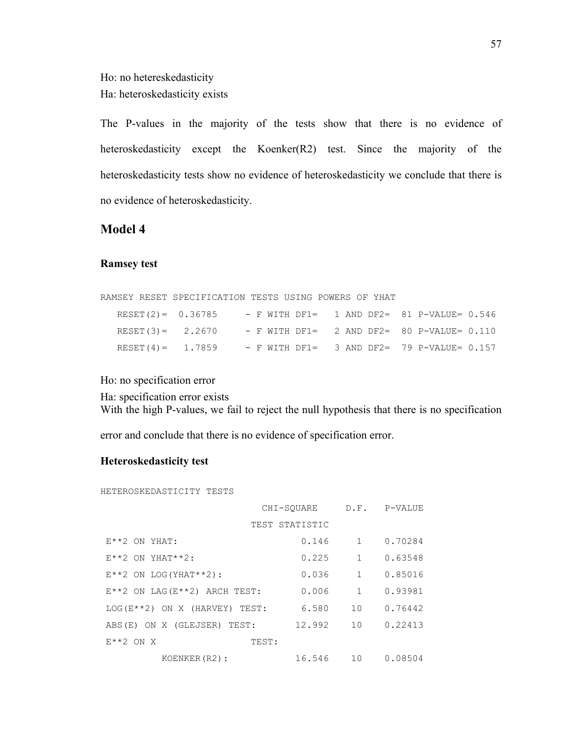Ho: no hetereskedasticity Ha: heteroskedasticity exists

The P-values in the majority of the tests show that there is no evidence of heteroskedasticity except the Koenker(R2) test. Since the majority of the heteroskedasticity tests show no evidence of heteroskedasticity we conclude that there is no evidence of heteroskedasticity.

# **Model 4**

#### **Ramsey test**

|                       | RAMSEY RESET SPECIFICATION TESTS USING POWERS OF YHAT |                                              |
|-----------------------|-------------------------------------------------------|----------------------------------------------|
| $RESET (2) = 0.36785$ |                                                       | $-$ F WITH DF1= 1 AND DF2= 81 P-VALUE= 0.546 |
| $RESET (3) = 2.2670$  |                                                       | $-$ F WITH DF1= 2 AND DF2= 80 P-VALUE= 0.110 |
| $RESET(4) = 1.7859$   |                                                       | $-$ F WITH DF1= 3 AND DF2= 79 P-VALUE= 0.157 |

Ho: no specification error

Ha: specification error exists With the high P-values, we fail to reject the null hypothesis that there is no specification

error and conclude that there is no evidence of specification error.

# **Heteroskedasticity test**

HETEROSKEDASTICITY TESTS

|                                          | CHI-SOUARE     | D.F.         | P-VALUE |
|------------------------------------------|----------------|--------------|---------|
|                                          | TEST STATISTIC |              |         |
| $E^*$ 2 ON YHAT:                         | 0.146          | $\mathbf{1}$ | 0.70284 |
| $E^{\star\star}2$ ON YHAT**2:            | 0.225          | $\mathbf{1}$ | 0.63548 |
| $E***2$ ON LOG (YHAT ** 2) :             | 0.036          | $\mathbf{1}$ | 0.85016 |
| $E^{**}2$ ON LAG( $E^{**}2$ ) ARCH TEST: | 0.006          | $\mathbf{1}$ | 0.93981 |
| $LOG(E**2)$ ON X (HARVEY) TEST:          | 6.580          | 10           | 0.76442 |
| ABS(E) ON X (GLEJSER) TEST:              | 12.992         | 10           | 0.22413 |
| $E^{\star}$ $2$ ON X<br>TEST:            |                |              |         |
| KOENKER (R2):                            | 16.546         | 10           | 0.08504 |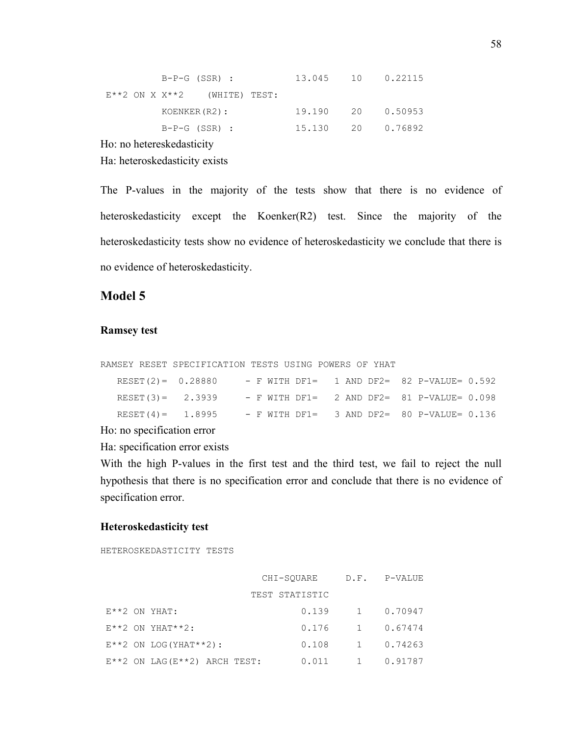|                           | B-P-G (SSR) :                         | 13.045 10 0.22115 |  |
|---------------------------|---------------------------------------|-------------------|--|
|                           | $E^{***}$ ON X $X^{**}$ (WHITE) TEST: |                   |  |
|                           | KOENKER (R2):                         | 19.190 20 0.50953 |  |
|                           | $B-P-G (SSR)$ :                       | 15.130 20 0.76892 |  |
| $\mathbf{v}$ $\mathbf{v}$ |                                       |                   |  |

Ho: no hetereskedasticity

Ha: heteroskedasticity exists

The P-values in the majority of the tests show that there is no evidence of heteroskedasticity except the Koenker(R2) test. Since the majority of the heteroskedasticity tests show no evidence of heteroskedasticity we conclude that there is no evidence of heteroskedasticity.

# **Model 5**

#### **Ramsey test**

RAMSEY RESET SPECIFICATION TESTS USING POWERS OF YHAT

| $RESET (2) = 0.28880$ |  |  | $-$ F WITH DF1= 1 AND DF2= 82 P-VALUE= 0.592 |
|-----------------------|--|--|----------------------------------------------|
| $RESET (3) = 2.3939$  |  |  | - F WITH DF1= 2 AND DF2= 81 P-VALUE= 0.098   |
| $RESET(4) = 1.8995$   |  |  | $-$ F WITH DF1= 3 AND DF2= 80 P-VALUE= 0.136 |

Ho: no specification error

Ha: specification error exists

With the high P-values in the first test and the third test, we fail to reject the null hypothesis that there is no specification error and conclude that there is no evidence of specification error.

#### **Heteroskedasticity test**

HETEROSKEDASTICITY TESTS

|                                              | CHI-SQUARE     |              | D.F. P-VALUE |
|----------------------------------------------|----------------|--------------|--------------|
|                                              | TEST STATISTIC |              |              |
| $E^{\star}$ $2$ ON YHAT:                     | 0.139          | 1            | 0.70947      |
| $E^{\star\star}2$ ON YHAT $^{\star\star}2$ : | 0.176          | 1            | 0.67474      |
| $E^{**}2$ ON LOG (YHAT**2):                  | 0.108          | 1            | 0.74263      |
| $E^{**}2$ ON LAG( $E^{**}2$ ) ARCH TEST:     | 0.011          | $\mathbf{1}$ | 0.91787      |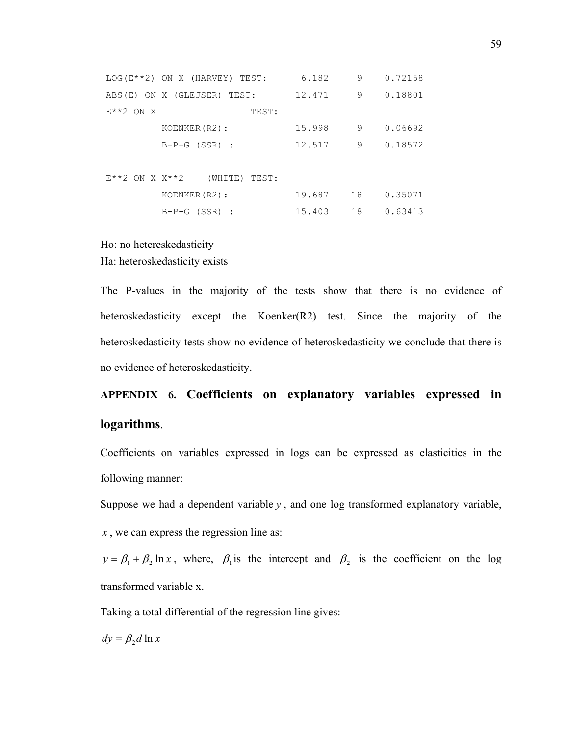|                            | $LOG(E**2)$ ON X (HARVEY) TEST: | 6.182  | 9  | 0.72158 |
|----------------------------|---------------------------------|--------|----|---------|
|                            | ABS(E) ON X (GLEJSER) TEST:     | 12.471 | 9  | 0.18801 |
| $E^{\star}$ $2$ ON X       | TEST:                           |        |    |         |
|                            | KOENKER (R2):                   | 15.998 | 9  | 0.06692 |
|                            | $B-P-G (SSR)$ :                 | 12.517 | 9  | 0.18572 |
|                            |                                 |        |    |         |
| $E^{***2}$ ON X $X^{***2}$ | (WHITE)<br>TEST:                |        |    |         |
|                            | KOENKER (R2):                   | 19.687 | 18 | 0.35071 |
|                            | $B-P-G (SSR)$ :                 | 15.403 | 18 | 0.63413 |

# Ho: no hetereskedasticity Ha: heteroskedasticity exists

The P-values in the majority of the tests show that there is no evidence of heteroskedasticity except the Koenker(R2) test. Since the majority of the heteroskedasticity tests show no evidence of heteroskedasticity we conclude that there is no evidence of heteroskedasticity.

# **APPENDIX 6. Coefficients on explanatory variables expressed in logarithms**.

Coefficients on variables expressed in logs can be expressed as elasticities in the following manner:

Suppose we had a dependent variable  $y$ , and one log transformed explanatory variable,

*x* , we can express the regression line as:

 $y = \beta_1 + \beta_2 \ln x$ , where,  $\beta_1$  is the intercept and  $\beta_2$  is the coefficient on the log transformed variable x.

Taking a total differential of the regression line gives:

 $dy = \beta_2 d \ln x$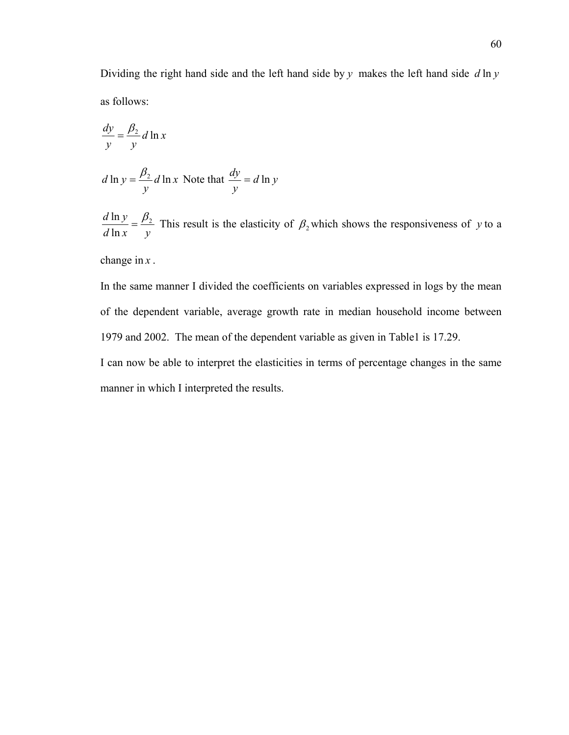Dividing the right hand side and the left hand side by *y* makes the left hand side *d* ln *y* as follows:

$$
\frac{dy}{y} = \frac{\beta_2}{y} d \ln x
$$

$$
d \ln y = \frac{\beta_2}{y} d \ln x
$$
 Note that  $\frac{dy}{y} = d \ln y$ 

 $d \ln x$  *y*  $d \ln y \frac{\beta_2}{a}$  $\frac{\ln y}{\ln x} = \frac{\beta_2}{y}$  This result is the elasticity of  $\beta_2$  which shows the responsiveness of *y* to a

change in *x* .

In the same manner I divided the coefficients on variables expressed in logs by the mean of the dependent variable, average growth rate in median household income between 1979 and 2002. The mean of the dependent variable as given in Table1 is 17.29. I can now be able to interpret the elasticities in terms of percentage changes in the same manner in which I interpreted the results.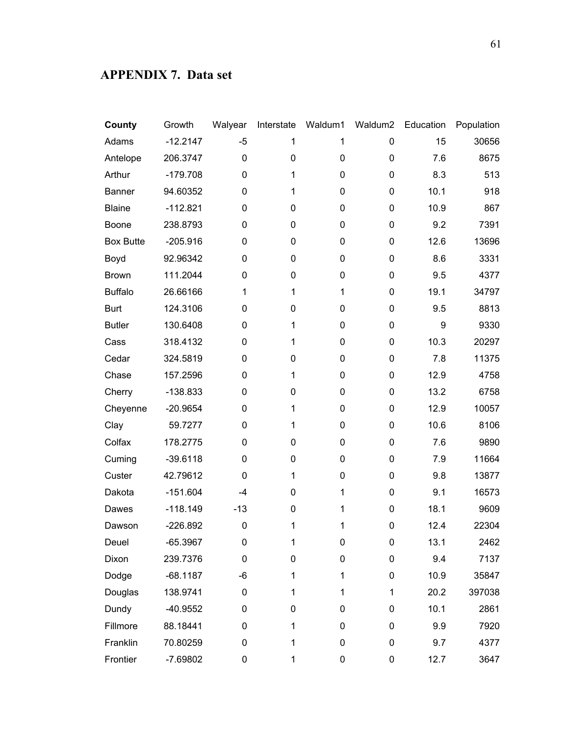# **APPENDIX 7. Data set**

| County           | Growth     | Walyear     | Interstate  | Waldum1 | Waldum2 | Education | Population |
|------------------|------------|-------------|-------------|---------|---------|-----------|------------|
| Adams            | $-12.2147$ | $-5$        | 1           | 1       | 0       | 15        | 30656      |
| Antelope         | 206.3747   | $\mathbf 0$ | $\mathbf 0$ | 0       | 0       | 7.6       | 8675       |
| Arthur           | $-179.708$ | $\mathbf 0$ | $\mathbf 1$ | 0       | 0       | 8.3       | 513        |
| Banner           | 94.60352   | 0           | $\mathbf 1$ | 0       | 0       | 10.1      | 918        |
| <b>Blaine</b>    | $-112.821$ | 0           | $\pmb{0}$   | 0       | 0       | 10.9      | 867        |
| <b>Boone</b>     | 238.8793   | 0           | $\mathbf 0$ | 0       | 0       | 9.2       | 7391       |
| <b>Box Butte</b> | $-205.916$ | 0           | $\pmb{0}$   | 0       | 0       | 12.6      | 13696      |
| Boyd             | 92.96342   | 0           | $\mathbf 0$ | 0       | 0       | 8.6       | 3331       |
| <b>Brown</b>     | 111.2044   | 0           | $\pmb{0}$   | 0       | 0       | 9.5       | 4377       |
| <b>Buffalo</b>   | 26.66166   | 1           | $\mathbf 1$ | 1       | 0       | 19.1      | 34797      |
| <b>Burt</b>      | 124.3106   | 0           | $\pmb{0}$   | 0       | 0       | 9.5       | 8813       |
| <b>Butler</b>    | 130.6408   | 0           | $\mathbf 1$ | 0       | 0       | 9         | 9330       |
| Cass             | 318.4132   | 0           | $\mathbf 1$ | 0       | 0       | 10.3      | 20297      |
| Cedar            | 324.5819   | 0           | 0           | 0       | 0       | 7.8       | 11375      |
| Chase            | 157.2596   | 0           | $\mathbf 1$ | 0       | 0       | 12.9      | 4758       |
| Cherry           | $-138.833$ | 0           | 0           | 0       | 0       | 13.2      | 6758       |
| Cheyenne         | $-20.9654$ | 0           | $\mathbf 1$ | 0       | 0       | 12.9      | 10057      |
| Clay             | 59.7277    | 0           | $\mathbf 1$ | 0       | 0       | 10.6      | 8106       |
| Colfax           | 178.2775   | 0           | $\pmb{0}$   | 0       | 0       | 7.6       | 9890       |
| Cuming           | $-39.6118$ | 0           | $\pmb{0}$   | 0       | 0       | 7.9       | 11664      |
| Custer           | 42.79612   | 0           | $\mathbf 1$ | 0       | 0       | 9.8       | 13877      |
| Dakota           | $-151.604$ | $-4$        | 0           | 1       | 0       | 9.1       | 16573      |
| Dawes            | $-118.149$ | $-13$       | $\pmb{0}$   | 1       | 0       | 18.1      | 9609       |
| Dawson           | $-226.892$ | 0           | $\mathbf 1$ | 1       | 0       | 12.4      | 22304      |
| Deuel            | $-65.3967$ | $\mathbf 0$ | $\mathbf 1$ | 0       | 0       | 13.1      | 2462       |
| Dixon            | 239.7376   | 0           | 0           | 0       | 0       | 9.4       | 7137       |
| Dodge            | $-68.1187$ | $-6$        | 1           | 1       | 0       | 10.9      | 35847      |
| Douglas          | 138.9741   | 0           | 1           | 1       | 1       | 20.2      | 397038     |
| Dundy            | $-40.9552$ | 0           | 0           | 0       | 0       | 10.1      | 2861       |
| Fillmore         | 88.18441   | 0           | $\mathbf 1$ | 0       | 0       | 9.9       | 7920       |
| Franklin         | 70.80259   | 0           | $\mathbf 1$ | 0       | 0       | 9.7       | 4377       |
| Frontier         | $-7.69802$ | 0           | 1           | 0       | 0       | 12.7      | 3647       |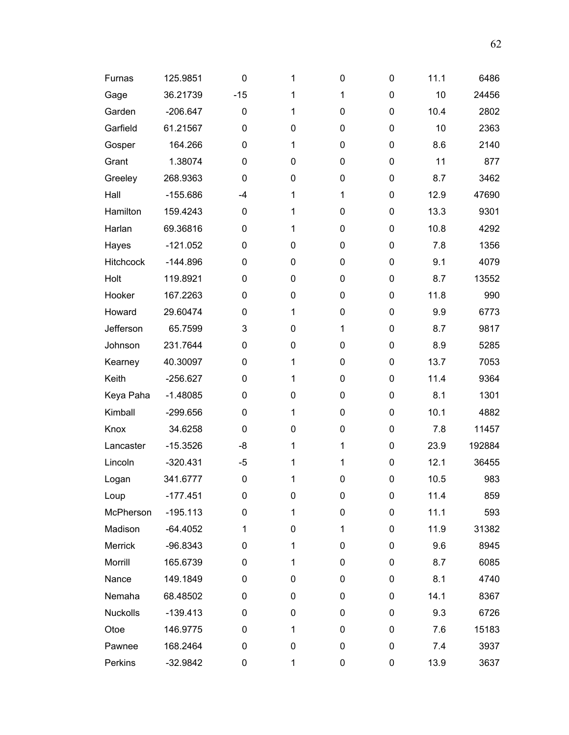| Furnas           | 125.9851   | 0           | 1            | 0 | 0 | 11.1 | 6486   |
|------------------|------------|-------------|--------------|---|---|------|--------|
| Gage             | 36.21739   | $-15$       | $\mathbf 1$  | 1 | 0 | 10   | 24456  |
| Garden           | $-206.647$ | $\mathbf 0$ | 1            | 0 | 0 | 10.4 | 2802   |
| Garfield         | 61.21567   | 0           | 0            | 0 | 0 | 10   | 2363   |
| Gosper           | 164.266    | 0           | $\mathbf{1}$ | 0 | 0 | 8.6  | 2140   |
| Grant            | 1.38074    | 0           | 0            | 0 | 0 | 11   | 877    |
| Greeley          | 268.9363   | $\mathbf 0$ | $\mathbf 0$  | 0 | 0 | 8.7  | 3462   |
| Hall             | $-155.686$ | $-4$        | $\mathbf 1$  | 1 | 0 | 12.9 | 47690  |
| Hamilton         | 159.4243   | 0           | 1            | 0 | 0 | 13.3 | 9301   |
| Harlan           | 69.36816   | 0           | $\mathbf 1$  | 0 | 0 | 10.8 | 4292   |
| Hayes            | $-121.052$ | 0           | $\mathbf 0$  | 0 | 0 | 7.8  | 1356   |
| <b>Hitchcock</b> | $-144.896$ | 0           | 0            | 0 | 0 | 9.1  | 4079   |
| Holt             | 119.8921   | 0           | $\mathbf 0$  | 0 | 0 | 8.7  | 13552  |
| Hooker           | 167.2263   | 0           | 0            | 0 | 0 | 11.8 | 990    |
| Howard           | 29.60474   | 0           | 1            | 0 | 0 | 9.9  | 6773   |
| Jefferson        | 65.7599    | 3           | 0            | 1 | 0 | 8.7  | 9817   |
| Johnson          | 231.7644   | 0           | $\mathbf 0$  | 0 | 0 | 8.9  | 5285   |
| Kearney          | 40.30097   | 0           | $\mathbf 1$  | 0 | 0 | 13.7 | 7053   |
| Keith            | $-256.627$ | 0           | 1            | 0 | 0 | 11.4 | 9364   |
| Keya Paha        | $-1.48085$ | 0           | 0            | 0 | 0 | 8.1  | 1301   |
| Kimball          | $-299.656$ | 0           | 1            | 0 | 0 | 10.1 | 4882   |
| Knox             | 34.6258    | 0           | 0            | 0 | 0 | 7.8  | 11457  |
| Lancaster        | $-15.3526$ | -8          | $\mathbf{1}$ | 1 | 0 | 23.9 | 192884 |
| Lincoln          | $-320.431$ | $-5$        | $\mathbf{1}$ | 1 | 0 | 12.1 | 36455  |
| Logan            | 341.6777   | 0           | $\mathbf{1}$ | 0 | 0 | 10.5 | 983    |
| Loup             | $-177.451$ | 0           | 0            | 0 | 0 | 11.4 | 859    |
| McPherson        | $-195.113$ | $\mathbf 0$ | $\mathbf{1}$ | 0 | 0 | 11.1 | 593    |
| Madison          | $-64.4052$ | 1           | 0            | 1 | 0 | 11.9 | 31382  |
| Merrick          | $-96.8343$ | 0           | $\mathbf{1}$ | 0 | 0 | 9.6  | 8945   |
| Morrill          | 165.6739   | 0           | $\mathbf{1}$ | 0 | 0 | 8.7  | 6085   |
| Nance            | 149.1849   | 0           | 0            | 0 | 0 | 8.1  | 4740   |
| Nemaha           | 68.48502   | 0           | 0            | 0 | 0 | 14.1 | 8367   |
| <b>Nuckolls</b>  | $-139.413$ | 0           | 0            | 0 | 0 | 9.3  | 6726   |
| Otoe             | 146.9775   | 0           | $\mathbf{1}$ | 0 | 0 | 7.6  | 15183  |
| Pawnee           | 168.2464   | 0           | 0            | 0 | 0 | 7.4  | 3937   |
| Perkins          | $-32.9842$ | 0           | 1            | 0 | 0 | 13.9 | 3637   |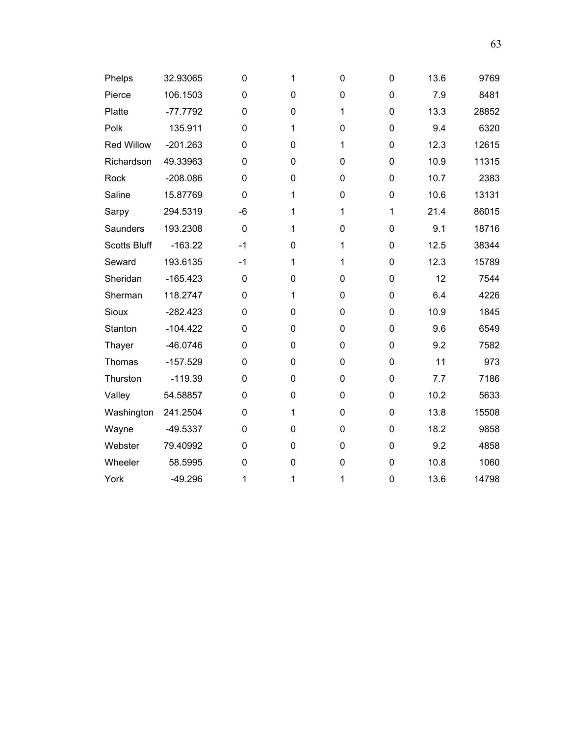| Phelps              | 32.93065   | 0           | 1           | 0 | 0           | 13.6 | 9769  |
|---------------------|------------|-------------|-------------|---|-------------|------|-------|
| Pierce              | 106.1503   | 0           | $\mathbf 0$ | 0 | 0           | 7.9  | 8481  |
| Platte              | $-77.7792$ | 0           | $\mathbf 0$ | 1 | 0           | 13.3 | 28852 |
| Polk                | 135.911    | 0           | 1           | 0 | 0           | 9.4  | 6320  |
| <b>Red Willow</b>   | $-201.263$ | 0           | 0           | 1 | 0           | 12.3 | 12615 |
| Richardson          | 49.33963   | 0           | $\mathbf 0$ | 0 | 0           | 10.9 | 11315 |
| Rock                | $-208.086$ | 0           | 0           | 0 | $\mathbf 0$ | 10.7 | 2383  |
| Saline              | 15.87769   | 0           | 1           | 0 | 0           | 10.6 | 13131 |
| Sarpy               | 294.5319   | $-6$        | 1           | 1 | $\mathbf 1$ | 21.4 | 86015 |
| Saunders            | 193.2308   | $\mathbf 0$ | 1           | 0 | 0           | 9.1  | 18716 |
| <b>Scotts Bluff</b> | $-163.22$  | $-1$        | 0           | 1 | 0           | 12.5 | 38344 |
| Seward              | 193.6135   | $-1$        | 1           | 1 | $\mathbf 0$ | 12.3 | 15789 |
| Sheridan            | $-165.423$ | 0           | 0           | 0 | 0           | 12   | 7544  |
| Sherman             | 118.2747   | 0           | 1           | 0 | $\mathbf 0$ | 6.4  | 4226  |
| Sioux               | $-282.423$ | 0           | 0           | 0 | $\mathbf 0$ | 10.9 | 1845  |
| Stanton             | $-104.422$ | 0           | $\mathbf 0$ | 0 | 0           | 9.6  | 6549  |
| Thayer              | $-46.0746$ | 0           | $\mathbf 0$ | 0 | $\mathbf 0$ | 9.2  | 7582  |
| Thomas              | $-157.529$ | 0           | $\mathbf 0$ | 0 | 0           | 11   | 973   |
| Thurston            | $-119.39$  | 0           | 0           | 0 | $\mathbf 0$ | 7.7  | 7186  |
| Valley              | 54.58857   | 0           | 0           | 0 | 0           | 10.2 | 5633  |
| Washington          | 241.2504   | 0           | 1           | 0 | $\mathbf 0$ | 13.8 | 15508 |
| Wayne               | $-49.5337$ | 0           | 0           | 0 | 0           | 18.2 | 9858  |
| Webster             | 79.40992   | 0           | 0           | 0 | $\mathbf 0$ | 9.2  | 4858  |
| Wheeler             | 58.5995    | $\mathbf 0$ | 0           | 0 | $\mathbf 0$ | 10.8 | 1060  |
| York                | $-49.296$  | 1           | 1           | 1 | $\mathbf 0$ | 13.6 | 14798 |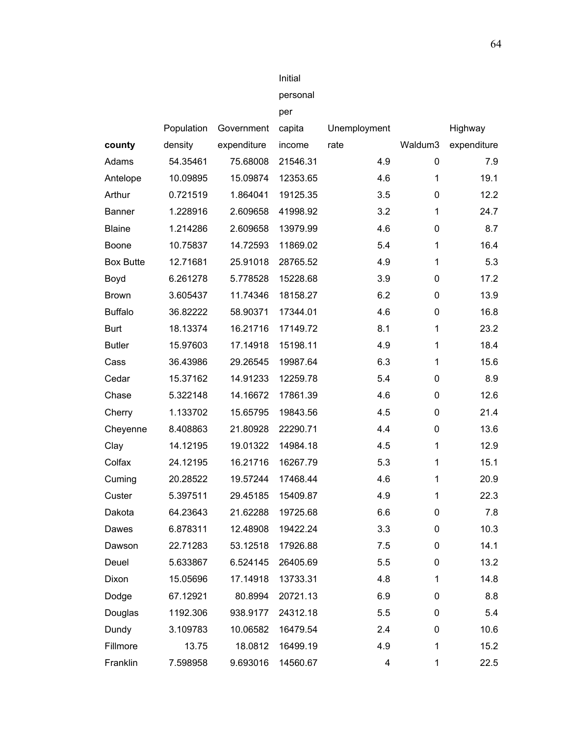|                  |            |             | personal |              |              |             |
|------------------|------------|-------------|----------|--------------|--------------|-------------|
|                  |            |             | per      |              |              |             |
|                  | Population | Government  | capita   | Unemployment |              | Highway     |
| county           | density    | expenditure | income   | rate         | Waldum3      | expenditure |
| Adams            | 54.35461   | 75.68008    | 21546.31 | 4.9          | 0            | 7.9         |
| Antelope         | 10.09895   | 15.09874    | 12353.65 | 4.6          | $\mathbf{1}$ | 19.1        |
| Arthur           | 0.721519   | 1.864041    | 19125.35 | 3.5          | 0            | 12.2        |
| <b>Banner</b>    | 1.228916   | 2.609658    | 41998.92 | 3.2          | $\mathbf{1}$ | 24.7        |
| <b>Blaine</b>    | 1.214286   | 2.609658    | 13979.99 | 4.6          | 0            | 8.7         |
| Boone            | 10.75837   | 14.72593    | 11869.02 | 5.4          | 1            | 16.4        |
| <b>Box Butte</b> | 12.71681   | 25.91018    | 28765.52 | 4.9          | $\mathbf{1}$ | 5.3         |
| Boyd             | 6.261278   | 5.778528    | 15228.68 | 3.9          | 0            | 17.2        |
| <b>Brown</b>     | 3.605437   | 11.74346    | 18158.27 | 6.2          | 0            | 13.9        |
| <b>Buffalo</b>   | 36.82222   | 58.90371    | 17344.01 | 4.6          | 0            | 16.8        |
| <b>Burt</b>      | 18.13374   | 16.21716    | 17149.72 | 8.1          | $\mathbf{1}$ | 23.2        |
| <b>Butler</b>    | 15.97603   | 17.14918    | 15198.11 | 4.9          | 1            | 18.4        |
| Cass             | 36.43986   | 29.26545    | 19987.64 | 6.3          | 1            | 15.6        |
| Cedar            | 15.37162   | 14.91233    | 12259.78 | 5.4          | 0            | 8.9         |
| Chase            | 5.322148   | 14.16672    | 17861.39 | 4.6          | 0            | 12.6        |
| Cherry           | 1.133702   | 15.65795    | 19843.56 | 4.5          | 0            | 21.4        |
| Cheyenne         | 8.408863   | 21.80928    | 22290.71 | 4.4          | 0            | 13.6        |
| Clay             | 14.12195   | 19.01322    | 14984.18 | 4.5          | 1            | 12.9        |
| Colfax           | 24.12195   | 16.21716    | 16267.79 | 5.3          | 1            | 15.1        |
| Cuming           | 20.28522   | 19.57244    | 17468.44 | 4.6          | $\mathbf{1}$ | 20.9        |
| Custer           | 5.397511   | 29.45185    | 15409.87 | 4.9          | $\mathbf{1}$ | 22.3        |
| Dakota           | 64.23643   | 21.62288    | 19725.68 | 6.6          | 0            | 7.8         |
| Dawes            | 6.878311   | 12.48908    | 19422.24 | 3.3          | 0            | 10.3        |
| Dawson           | 22.71283   | 53.12518    | 17926.88 | 7.5          | 0            | 14.1        |
| Deuel            | 5.633867   | 6.524145    | 26405.69 | 5.5          | 0            | 13.2        |
| Dixon            | 15.05696   | 17.14918    | 13733.31 | 4.8          | 1            | 14.8        |
| Dodge            | 67.12921   | 80.8994     | 20721.13 | 6.9          | 0            | 8.8         |
| Douglas          | 1192.306   | 938.9177    | 24312.18 | 5.5          | 0            | 5.4         |
| Dundy            | 3.109783   | 10.06582    | 16479.54 | 2.4          | 0            | 10.6        |
| Fillmore         | 13.75      | 18.0812     | 16499.19 | 4.9          | 1            | 15.2        |
| Franklin         | 7.598958   | 9.693016    | 14560.67 | 4            | 1            | 22.5        |

Initial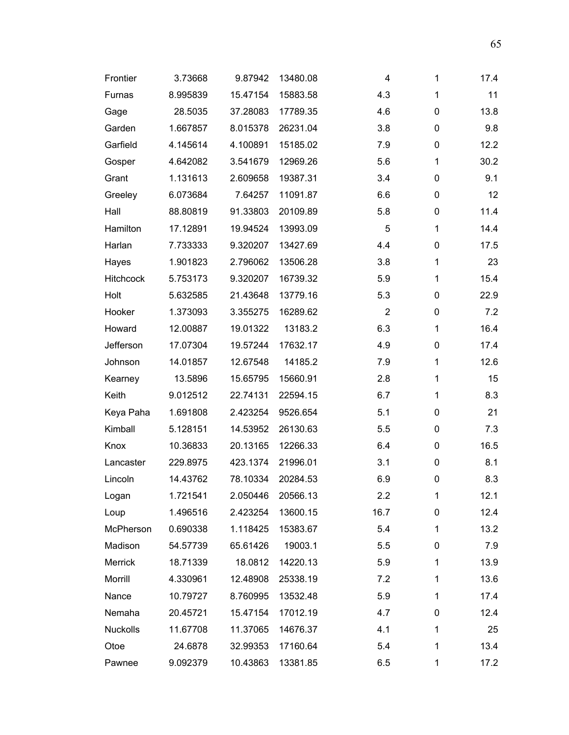| Frontier        | 3.73668  | 9.87942  | 13480.08 | 4              | 1 | 17.4 |
|-----------------|----------|----------|----------|----------------|---|------|
| Furnas          | 8.995839 | 15.47154 | 15883.58 | 4.3            | 1 | 11   |
| Gage            | 28.5035  | 37.28083 | 17789.35 | 4.6            | 0 | 13.8 |
| Garden          | 1.667857 | 8.015378 | 26231.04 | 3.8            | 0 | 9.8  |
| Garfield        | 4.145614 | 4.100891 | 15185.02 | 7.9            | 0 | 12.2 |
| Gosper          | 4.642082 | 3.541679 | 12969.26 | 5.6            | 1 | 30.2 |
| Grant           | 1.131613 | 2.609658 | 19387.31 | 3.4            | 0 | 9.1  |
| Greeley         | 6.073684 | 7.64257  | 11091.87 | 6.6            | 0 | 12   |
| Hall            | 88.80819 | 91.33803 | 20109.89 | 5.8            | 0 | 11.4 |
| Hamilton        | 17.12891 | 19.94524 | 13993.09 | 5              | 1 | 14.4 |
| Harlan          | 7.733333 | 9.320207 | 13427.69 | 4.4            | 0 | 17.5 |
| Hayes           | 1.901823 | 2.796062 | 13506.28 | 3.8            | 1 | 23   |
| Hitchcock       | 5.753173 | 9.320207 | 16739.32 | 5.9            | 1 | 15.4 |
| Holt            | 5.632585 | 21.43648 | 13779.16 | 5.3            | 0 | 22.9 |
| Hooker          | 1.373093 | 3.355275 | 16289.62 | $\overline{2}$ | 0 | 7.2  |
| Howard          | 12.00887 | 19.01322 | 13183.2  | 6.3            | 1 | 16.4 |
| Jefferson       | 17.07304 | 19.57244 | 17632.17 | 4.9            | 0 | 17.4 |
| Johnson         | 14.01857 | 12.67548 | 14185.2  | 7.9            | 1 | 12.6 |
| Kearney         | 13.5896  | 15.65795 | 15660.91 | 2.8            | 1 | 15   |
| Keith           | 9.012512 | 22.74131 | 22594.15 | 6.7            | 1 | 8.3  |
| Keya Paha       | 1.691808 | 2.423254 | 9526.654 | 5.1            | 0 | 21   |
| Kimball         | 5.128151 | 14.53952 | 26130.63 | 5.5            | 0 | 7.3  |
| Knox            | 10.36833 | 20.13165 | 12266.33 | 6.4            | 0 | 16.5 |
| Lancaster       | 229.8975 | 423.1374 | 21996.01 | 3.1            | 0 | 8.1  |
| Lincoln         | 14.43762 | 78.10334 | 20284.53 | 6.9            | 0 | 8.3  |
| Logan           | 1.721541 | 2.050446 | 20566.13 | 2.2            | 1 | 12.1 |
| Loup            | 1.496516 | 2.423254 | 13600.15 | 16.7           | 0 | 12.4 |
| McPherson       | 0.690338 | 1.118425 | 15383.67 | 5.4            | 1 | 13.2 |
| Madison         | 54.57739 | 65.61426 | 19003.1  | 5.5            | 0 | 7.9  |
| Merrick         | 18.71339 | 18.0812  | 14220.13 | 5.9            | 1 | 13.9 |
| Morrill         | 4.330961 | 12.48908 | 25338.19 | 7.2            | 1 | 13.6 |
| Nance           | 10.79727 | 8.760995 | 13532.48 | 5.9            | 1 | 17.4 |
| Nemaha          | 20.45721 | 15.47154 | 17012.19 | 4.7            | 0 | 12.4 |
| <b>Nuckolls</b> | 11.67708 | 11.37065 | 14676.37 | 4.1            | 1 | 25   |
| Otoe            | 24.6878  | 32.99353 | 17160.64 | 5.4            | 1 | 13.4 |
| Pawnee          | 9.092379 | 10.43863 | 13381.85 | 6.5            | 1 | 17.2 |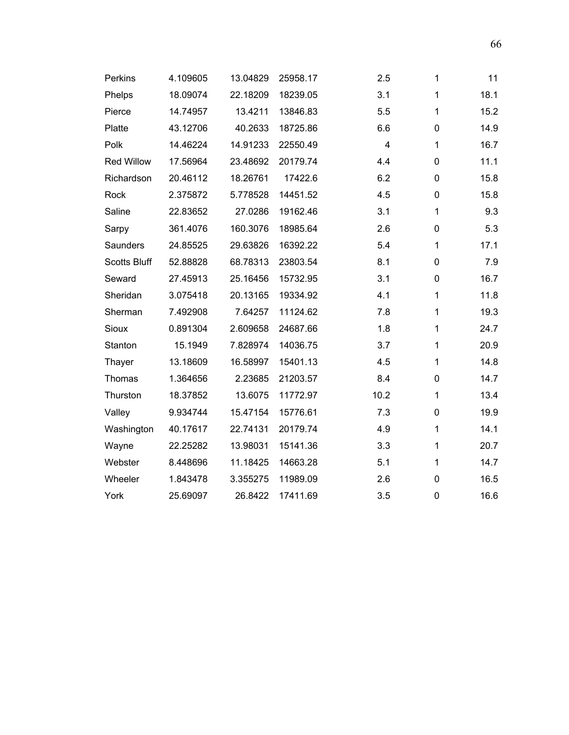| Perkins             | 4.109605 | 13.04829 | 25958.17 | 2.5  | 1            | 11   |
|---------------------|----------|----------|----------|------|--------------|------|
| Phelps              | 18.09074 | 22.18209 | 18239.05 | 3.1  | 1            | 18.1 |
| Pierce              | 14.74957 | 13.4211  | 13846.83 | 5.5  | 1            | 15.2 |
| Platte              | 43.12706 | 40.2633  | 18725.86 | 6.6  | 0            | 14.9 |
| Polk                | 14.46224 | 14.91233 | 22550.49 | 4    | 1            | 16.7 |
| <b>Red Willow</b>   | 17.56964 | 23.48692 | 20179.74 | 4.4  | 0            | 11.1 |
| Richardson          | 20.46112 | 18.26761 | 17422.6  | 6.2  | 0            | 15.8 |
| Rock                | 2.375872 | 5.778528 | 14451.52 | 4.5  | 0            | 15.8 |
| Saline              | 22.83652 | 27.0286  | 19162.46 | 3.1  | $\mathbf{1}$ | 9.3  |
| Sarpy               | 361.4076 | 160.3076 | 18985.64 | 2.6  | 0            | 5.3  |
| Saunders            | 24.85525 | 29.63826 | 16392.22 | 5.4  | 1            | 17.1 |
| <b>Scotts Bluff</b> | 52.88828 | 68.78313 | 23803.54 | 8.1  | 0            | 7.9  |
| Seward              | 27.45913 | 25.16456 | 15732.95 | 3.1  | $\pmb{0}$    | 16.7 |
| Sheridan            | 3.075418 | 20.13165 | 19334.92 | 4.1  | 1            | 11.8 |
| Sherman             | 7.492908 | 7.64257  | 11124.62 | 7.8  | 1            | 19.3 |
| Sioux               | 0.891304 | 2.609658 | 24687.66 | 1.8  | 1            | 24.7 |
| Stanton             | 15.1949  | 7.828974 | 14036.75 | 3.7  | 1            | 20.9 |
| Thayer              | 13.18609 | 16.58997 | 15401.13 | 4.5  | 1            | 14.8 |
| Thomas              | 1.364656 | 2.23685  | 21203.57 | 8.4  | 0            | 14.7 |
| Thurston            | 18.37852 | 13.6075  | 11772.97 | 10.2 | 1            | 13.4 |
| Valley              | 9.934744 | 15.47154 | 15776.61 | 7.3  | 0            | 19.9 |
| Washington          | 40.17617 | 22.74131 | 20179.74 | 4.9  | 1            | 14.1 |
| Wayne               | 22.25282 | 13.98031 | 15141.36 | 3.3  | 1            | 20.7 |
| Webster             | 8.448696 | 11.18425 | 14663.28 | 5.1  | $\mathbf{1}$ | 14.7 |
| Wheeler             | 1.843478 | 3.355275 | 11989.09 | 2.6  | 0            | 16.5 |
| York                | 25.69097 | 26.8422  | 17411.69 | 3.5  | 0            | 16.6 |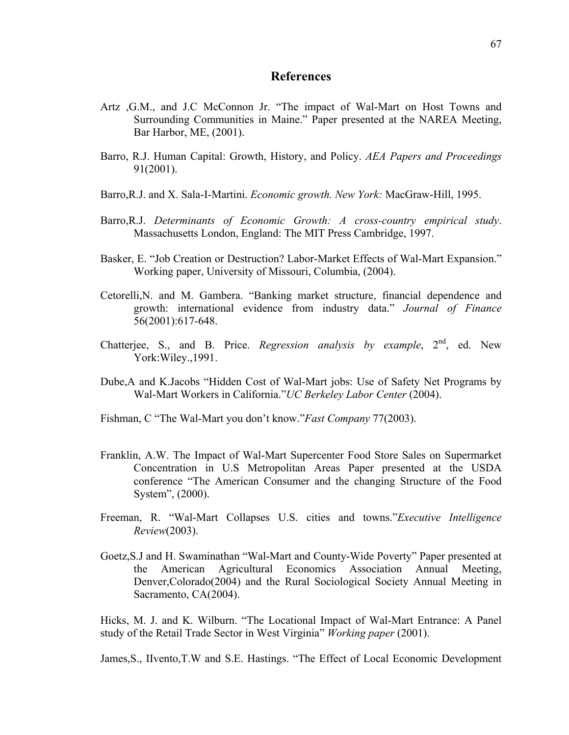## **References**

- Artz ,G.M., and J.C McConnon Jr. "The impact of Wal-Mart on Host Towns and Surrounding Communities in Maine." Paper presented at the NAREA Meeting, Bar Harbor, ME, (2001).
- Barro, R.J. Human Capital: Growth, History, and Policy. *AEA Papers and Proceedings* 91(2001).
- Barro,R.J. and X. Sala-I-Martini. *Economic growth. New York:* MacGraw-Hill, 1995.
- Barro,R.J. *Determinants of Economic Growth: A cross-country empirical study*. Massachusetts London, England: The MIT Press Cambridge, 1997.
- Basker, E. "Job Creation or Destruction? Labor-Market Effects of Wal-Mart Expansion." Working paper, University of Missouri, Columbia, (2004).
- Cetorelli,N. and M. Gambera. "Banking market structure, financial dependence and growth: international evidence from industry data." *Journal of Finance* 56(2001):617-648.
- Chatterjee, S., and B. Price. *Regression analysis by example*, 2<sup>nd</sup>, ed. New York:Wiley.,1991.
- Dube,A and K.Jacobs "Hidden Cost of Wal-Mart jobs: Use of Safety Net Programs by Wal-Mart Workers in California."*UC Berkeley Labor Center* (2004).
- Fishman, C "The Wal-Mart you don't know."*Fast Company* 77(2003).
- Franklin, A.W. The Impact of Wal-Mart Supercenter Food Store Sales on Supermarket Concentration in U.S Metropolitan Areas Paper presented at the USDA conference "The American Consumer and the changing Structure of the Food System", (2000).
- Freeman, R. "Wal-Mart Collapses U.S. cities and towns."*Executive Intelligence Review*(2003).
- Goetz,S.J and H. Swaminathan "Wal-Mart and County-Wide Poverty" Paper presented at the American Agricultural Economics Association Annual Meeting, Denver,Colorado(2004) and the Rural Sociological Society Annual Meeting in Sacramento, CA(2004).

Hicks, M. J. and K. Wilburn. "The Locational Impact of Wal-Mart Entrance: A Panel study of the Retail Trade Sector in West Virginia" *Working paper* (2001).

James,S., IIvento,T.W and S.E. Hastings. "The Effect of Local Economic Development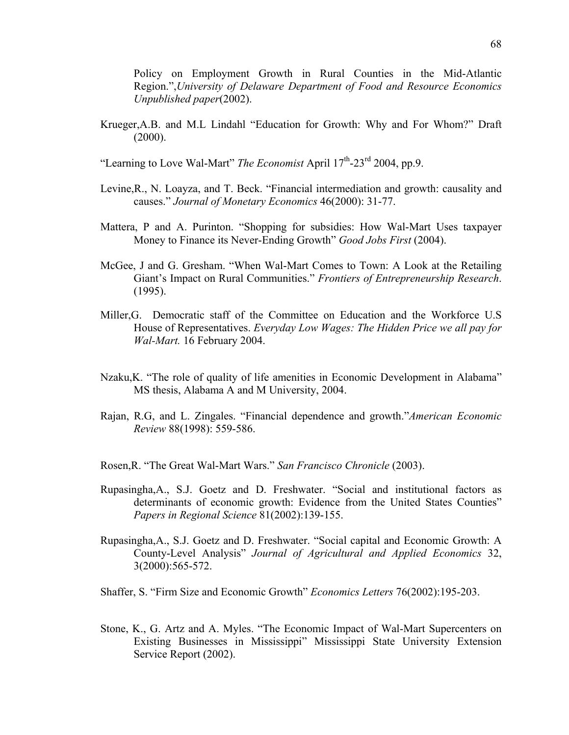Policy on Employment Growth in Rural Counties in the Mid-Atlantic Region.",*University of Delaware Department of Food and Resource Economics Unpublished paper*(2002).

Krueger,A.B. and M.L Lindahl "Education for Growth: Why and For Whom?" Draft (2000).

"Learning to Love Wal-Mart" *The Economist* April  $17<sup>th</sup>$ -23<sup>rd</sup> 2004, pp.9.

- Levine,R., N. Loayza, and T. Beck. "Financial intermediation and growth: causality and causes." *Journal of Monetary Economics* 46(2000): 31-77.
- Mattera, P and A. Purinton. "Shopping for subsidies: How Wal-Mart Uses taxpayer Money to Finance its Never-Ending Growth" *Good Jobs First* (2004).
- McGee, J and G. Gresham. "When Wal-Mart Comes to Town: A Look at the Retailing Giant's Impact on Rural Communities." *Frontiers of Entrepreneurship Research*. (1995).
- Miller,G. Democratic staff of the Committee on Education and the Workforce U.S House of Representatives. *Everyday Low Wages: The Hidden Price we all pay for Wal-Mart.* 16 February 2004.
- Nzaku,K. "The role of quality of life amenities in Economic Development in Alabama" MS thesis, Alabama A and M University, 2004.
- Rajan, R.G, and L. Zingales. "Financial dependence and growth."*American Economic Review* 88(1998): 559-586.

Rosen,R. "The Great Wal-Mart Wars." *San Francisco Chronicle* (2003).

- Rupasingha,A., S.J. Goetz and D. Freshwater. "Social and institutional factors as determinants of economic growth: Evidence from the United States Counties" *Papers in Regional Science* 81(2002):139-155.
- Rupasingha,A., S.J. Goetz and D. Freshwater. "Social capital and Economic Growth: A County-Level Analysis" *Journal of Agricultural and Applied Economics* 32, 3(2000):565-572.
- Shaffer, S. "Firm Size and Economic Growth" *Economics Letters* 76(2002):195-203.
- Stone, K., G. Artz and A. Myles. "The Economic Impact of Wal-Mart Supercenters on Existing Businesses in Mississippi" Mississippi State University Extension Service Report (2002).